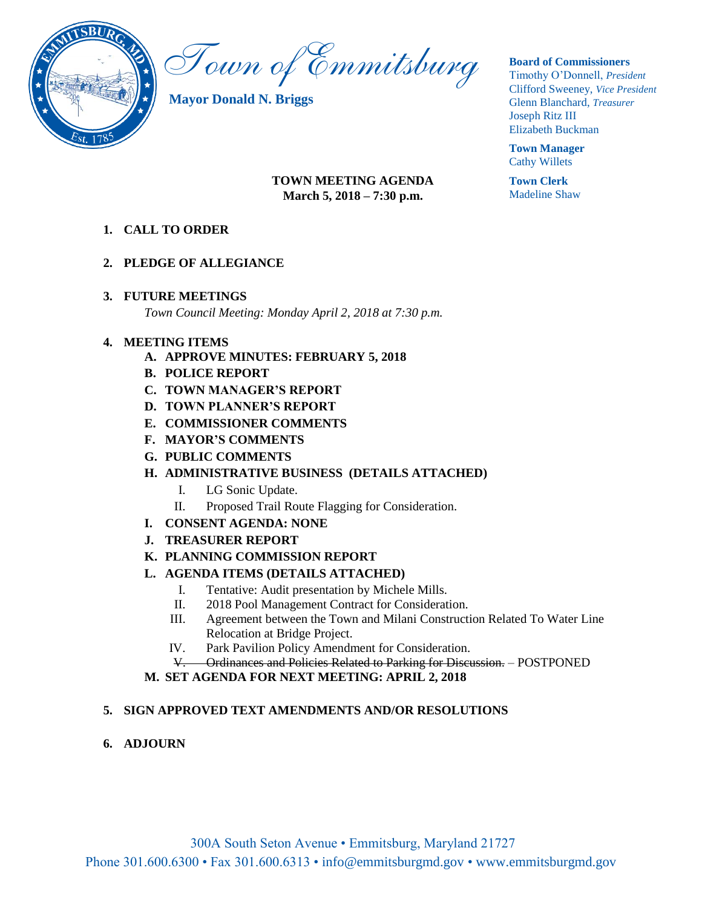

Town of Emmitsburg

**Mayor Donald N. Briggs**

#### **Board of Commissioners**

Timothy O'Donnell, *President*  Clifford Sweeney, *Vice President*  Glenn Blanchard, *Treasurer*  Joseph Ritz III Elizabeth Buckman

**Town Manager** Cathy Willets

**Town Clerk** Madeline Shaw

#### **TOWN MEETING AGENDA March 5, 2018 – 7:30 p.m.**

**1. CALL TO ORDER**

#### **2. PLEDGE OF ALLEGIANCE**

## **3. FUTURE MEETINGS**

*Town Council Meeting: Monday April 2, 2018 at 7:30 p.m.*

## **4. MEETING ITEMS**

- **A. APPROVE MINUTES: FEBRUARY 5, 2018**
- **B. POLICE REPORT**
- **C. TOWN MANAGER'S REPORT**
- **D. TOWN PLANNER'S REPORT**
- **E. COMMISSIONER COMMENTS**
- **F. MAYOR'S COMMENTS**
- **G. PUBLIC COMMENTS**

## **H. ADMINISTRATIVE BUSINESS (DETAILS ATTACHED)**

- I. LG Sonic Update.
- II. Proposed Trail Route Flagging for Consideration.
- **I. CONSENT AGENDA: NONE**
- **J. TREASURER REPORT**
- **K. PLANNING COMMISSION REPORT**
- **L. AGENDA ITEMS (DETAILS ATTACHED)**
	- I. Tentative: Audit presentation by Michele Mills.
	- II. 2018 Pool Management Contract for Consideration.
	- III. Agreement between the Town and Milani Construction Related To Water Line Relocation at Bridge Project.
	- IV. Park Pavilion Policy Amendment for Consideration.
	- V. Ordinances and Policies Related to Parking for Discussion. POSTPONED
- **M. SET AGENDA FOR NEXT MEETING: APRIL 2, 2018**

## **5. SIGN APPROVED TEXT AMENDMENTS AND/OR RESOLUTIONS**

**6. ADJOURN**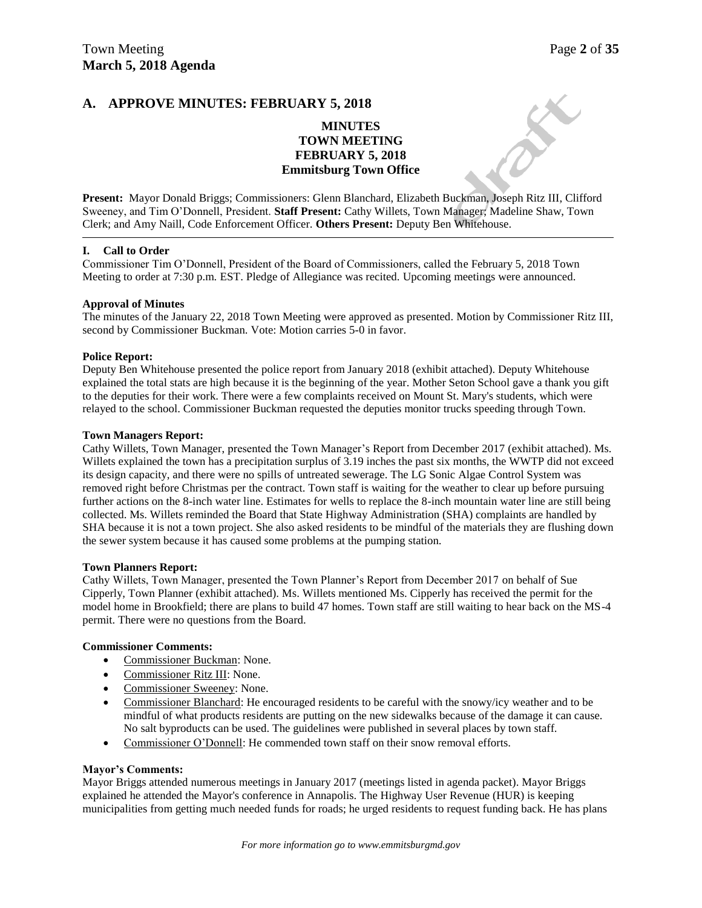#### **A. APPROVE MINUTES: FEBRUARY 5, 2018**

#### **MINUTES TOWN MEETING FEBRUARY 5, 2018 Emmitsburg Town Office**

**Present:** Mayor Donald Briggs; Commissioners: Glenn Blanchard, Elizabeth Buckman, Joseph Ritz III, Clifford Sweeney, and Tim O'Donnell, President. **Staff Present:** Cathy Willets, Town Manager; Madeline Shaw, Town Clerk; and Amy Naill, Code Enforcement Officer. **Others Present:** Deputy Ben Whitehouse.

#### **I. Call to Order**

Commissioner Tim O'Donnell, President of the Board of Commissioners, called the February 5, 2018 Town Meeting to order at 7:30 p.m. EST. Pledge of Allegiance was recited. Upcoming meetings were announced.

#### **Approval of Minutes**

The minutes of the January 22, 2018 Town Meeting were approved as presented. Motion by Commissioner Ritz III, second by Commissioner Buckman. Vote: Motion carries 5-0 in favor.

#### **Police Report:**

Deputy Ben Whitehouse presented the police report from January 2018 (exhibit attached). Deputy Whitehouse explained the total stats are high because it is the beginning of the year. Mother Seton School gave a thank you gift to the deputies for their work. There were a few complaints received on Mount St. Mary's students, which were relayed to the school. Commissioner Buckman requested the deputies monitor trucks speeding through Town.

#### **Town Managers Report:**

Cathy Willets, Town Manager, presented the Town Manager's Report from December 2017 (exhibit attached). Ms. Willets explained the town has a precipitation surplus of 3.19 inches the past six months, the WWTP did not exceed its design capacity, and there were no spills of untreated sewerage. The LG Sonic Algae Control System was removed right before Christmas per the contract. Town staff is waiting for the weather to clear up before pursuing further actions on the 8-inch water line. Estimates for wells to replace the 8-inch mountain water line are still being collected. Ms. Willets reminded the Board that State Highway Administration (SHA) complaints are handled by SHA because it is not a town project. She also asked residents to be mindful of the materials they are flushing down the sewer system because it has caused some problems at the pumping station.

#### **Town Planners Report:**

Cathy Willets, Town Manager, presented the Town Planner's Report from December 2017 on behalf of Sue Cipperly, Town Planner (exhibit attached). Ms. Willets mentioned Ms. Cipperly has received the permit for the model home in Brookfield; there are plans to build 47 homes. Town staff are still waiting to hear back on the MS-4 permit. There were no questions from the Board.

#### **Commissioner Comments:**

- Commissioner Buckman: None.
- Commissioner Ritz III: None.
- Commissioner Sweeney: None.
- Commissioner Blanchard: He encouraged residents to be careful with the snowy/icy weather and to be mindful of what products residents are putting on the new sidewalks because of the damage it can cause. No salt byproducts can be used. The guidelines were published in several places by town staff.
- Commissioner O'Donnell: He commended town staff on their snow removal efforts.

#### **Mayor's Comments:**

Mayor Briggs attended numerous meetings in January 2017 (meetings listed in agenda packet). Mayor Briggs explained he attended the Mayor's conference in Annapolis. The Highway User Revenue (HUR) is keeping municipalities from getting much needed funds for roads; he urged residents to request funding back. He has plans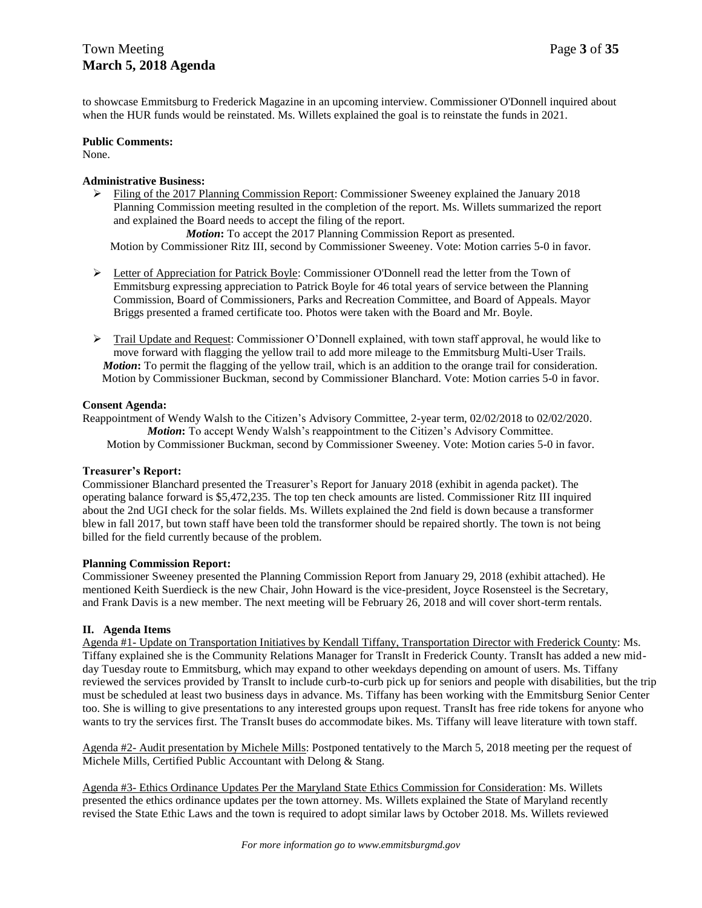to showcase Emmitsburg to Frederick Magazine in an upcoming interview. Commissioner O'Donnell inquired about when the HUR funds would be reinstated. Ms. Willets explained the goal is to reinstate the funds in 2021.

#### **Public Comments:**

None.

#### **Administrative Business:**

 $\triangleright$  Filing of the 2017 Planning Commission Report: Commissioner Sweeney explained the January 2018 Planning Commission meeting resulted in the completion of the report. Ms. Willets summarized the report and explained the Board needs to accept the filing of the report.

*Motion***:** To accept the 2017 Planning Commission Report as presented. Motion by Commissioner Ritz III, second by Commissioner Sweeney. Vote: Motion carries 5-0 in favor.

- $\triangleright$  Letter of Appreciation for Patrick Boyle: Commissioner O'Donnell read the letter from the Town of Emmitsburg expressing appreciation to Patrick Boyle for 46 total years of service between the Planning Commission, Board of Commissioners, Parks and Recreation Committee, and Board of Appeals. Mayor Briggs presented a framed certificate too. Photos were taken with the Board and Mr. Boyle.
- $\triangleright$  Trail Update and Request: Commissioner O'Donnell explained, with town staff approval, he would like to move forward with flagging the yellow trail to add more mileage to the Emmitsburg Multi-User Trails. *Motion***:** To permit the flagging of the yellow trail, which is an addition to the orange trail for consideration. Motion by Commissioner Buckman, second by Commissioner Blanchard. Vote: Motion carries 5-0 in favor.

#### **Consent Agenda:**

Reappointment of Wendy Walsh to the Citizen's Advisory Committee, 2-year term, 02/02/2018 to 02/02/2020. *Motion***:** To accept Wendy Walsh's reappointment to the Citizen's Advisory Committee. Motion by Commissioner Buckman, second by Commissioner Sweeney. Vote: Motion caries 5-0 in favor.

#### **Treasurer's Report:**

Commissioner Blanchard presented the Treasurer's Report for January 2018 (exhibit in agenda packet). The operating balance forward is \$5,472,235. The top ten check amounts are listed. Commissioner Ritz III inquired about the 2nd UGI check for the solar fields. Ms. Willets explained the 2nd field is down because a transformer blew in fall 2017, but town staff have been told the transformer should be repaired shortly. The town is not being billed for the field currently because of the problem.

#### **Planning Commission Report:**

Commissioner Sweeney presented the Planning Commission Report from January 29, 2018 (exhibit attached). He mentioned Keith Suerdieck is the new Chair, John Howard is the vice-president, Joyce Rosensteel is the Secretary, and Frank Davis is a new member. The next meeting will be February 26, 2018 and will cover short-term rentals.

#### **II. Agenda Items**

Agenda #1- Update on Transportation Initiatives by Kendall Tiffany, Transportation Director with Frederick County: Ms. Tiffany explained she is the Community Relations Manager for TransIt in Frederick County. TransIt has added a new midday Tuesday route to Emmitsburg, which may expand to other weekdays depending on amount of users. Ms. Tiffany reviewed the services provided by TransIt to include curb-to-curb pick up for seniors and people with disabilities, but the trip must be scheduled at least two business days in advance. Ms. Tiffany has been working with the Emmitsburg Senior Center too. She is willing to give presentations to any interested groups upon request. TransIt has free ride tokens for anyone who wants to try the services first. The TransIt buses do accommodate bikes. Ms. Tiffany will leave literature with town staff.

Agenda #2- Audit presentation by Michele Mills: Postponed tentatively to the March 5, 2018 meeting per the request of Michele Mills, Certified Public Accountant with Delong & Stang.

Agenda #3- Ethics Ordinance Updates Per the Maryland State Ethics Commission for Consideration: Ms. Willets presented the ethics ordinance updates per the town attorney. Ms. Willets explained the State of Maryland recently revised the State Ethic Laws and the town is required to adopt similar laws by October 2018. Ms. Willets reviewed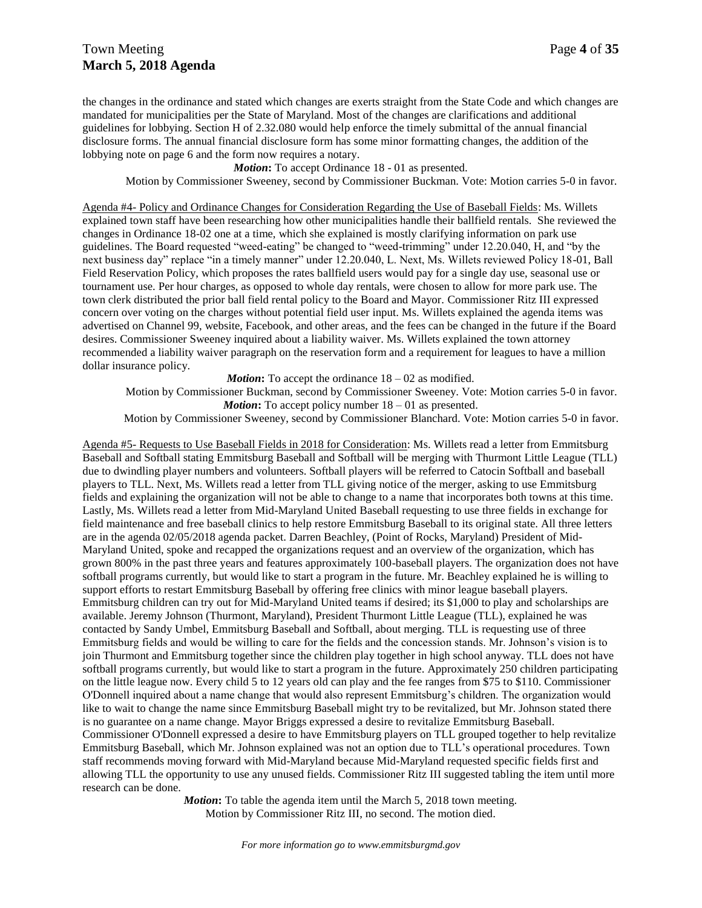## Town Meeting Page 4 of 35 **March 5, 2018 Agenda**

the changes in the ordinance and stated which changes are exerts straight from the State Code and which changes are mandated for municipalities per the State of Maryland. Most of the changes are clarifications and additional guidelines for lobbying. Section H of 2.32.080 would help enforce the timely submittal of the annual financial disclosure forms. The annual financial disclosure form has some minor formatting changes, the addition of the lobbying note on page 6 and the form now requires a notary.

*Motion***:** To accept Ordinance 18 - 01 as presented.

Motion by Commissioner Sweeney, second by Commissioner Buckman. Vote: Motion carries 5-0 in favor.

Agenda #4- Policy and Ordinance Changes for Consideration Regarding the Use of Baseball Fields: Ms. Willets explained town staff have been researching how other municipalities handle their ballfield rentals. She reviewed the changes in Ordinance 18-02 one at a time, which she explained is mostly clarifying information on park use guidelines. The Board requested "weed-eating" be changed to "weed-trimming" under 12.20.040, H, and "by the next business day" replace "in a timely manner" under 12.20.040, L. Next, Ms. Willets reviewed Policy 18-01, Ball Field Reservation Policy, which proposes the rates ballfield users would pay for a single day use, seasonal use or tournament use. Per hour charges, as opposed to whole day rentals, were chosen to allow for more park use. The town clerk distributed the prior ball field rental policy to the Board and Mayor. Commissioner Ritz III expressed concern over voting on the charges without potential field user input. Ms. Willets explained the agenda items was advertised on Channel 99, website, Facebook, and other areas, and the fees can be changed in the future if the Board desires. Commissioner Sweeney inquired about a liability waiver. Ms. Willets explained the town attorney recommended a liability waiver paragraph on the reservation form and a requirement for leagues to have a million dollar insurance policy.

*Motion*: To accept the ordinance  $18 - 02$  as modified.

Motion by Commissioner Buckman, second by Commissioner Sweeney. Vote: Motion carries 5-0 in favor. *Motion*: To accept policy number  $18 - 01$  as presented.

Motion by Commissioner Sweeney, second by Commissioner Blanchard. Vote: Motion carries 5-0 in favor.

Agenda #5- Requests to Use Baseball Fields in 2018 for Consideration: Ms. Willets read a letter from Emmitsburg Baseball and Softball stating Emmitsburg Baseball and Softball will be merging with Thurmont Little League (TLL) due to dwindling player numbers and volunteers. Softball players will be referred to Catocin Softball and baseball players to TLL. Next, Ms. Willets read a letter from TLL giving notice of the merger, asking to use Emmitsburg fields and explaining the organization will not be able to change to a name that incorporates both towns at this time. Lastly, Ms. Willets read a letter from Mid-Maryland United Baseball requesting to use three fields in exchange for field maintenance and free baseball clinics to help restore Emmitsburg Baseball to its original state. All three letters are in the agenda 02/05/2018 agenda packet. Darren Beachley, (Point of Rocks, Maryland) President of Mid-Maryland United, spoke and recapped the organizations request and an overview of the organization, which has grown 800% in the past three years and features approximately 100-baseball players. The organization does not have softball programs currently, but would like to start a program in the future. Mr. Beachley explained he is willing to support efforts to restart Emmitsburg Baseball by offering free clinics with minor league baseball players. Emmitsburg children can try out for Mid-Maryland United teams if desired; its \$1,000 to play and scholarships are available. Jeremy Johnson (Thurmont, Maryland), President Thurmont Little League (TLL), explained he was contacted by Sandy Umbel, Emmitsburg Baseball and Softball, about merging. TLL is requesting use of three Emmitsburg fields and would be willing to care for the fields and the concession stands. Mr. Johnson's vision is to join Thurmont and Emmitsburg together since the children play together in high school anyway. TLL does not have softball programs currently, but would like to start a program in the future. Approximately 250 children participating on the little league now. Every child 5 to 12 years old can play and the fee ranges from \$75 to \$110. Commissioner O'Donnell inquired about a name change that would also represent Emmitsburg's children. The organization would like to wait to change the name since Emmitsburg Baseball might try to be revitalized, but Mr. Johnson stated there is no guarantee on a name change. Mayor Briggs expressed a desire to revitalize Emmitsburg Baseball. Commissioner O'Donnell expressed a desire to have Emmitsburg players on TLL grouped together to help revitalize Emmitsburg Baseball, which Mr. Johnson explained was not an option due to TLL's operational procedures. Town staff recommends moving forward with Mid-Maryland because Mid-Maryland requested specific fields first and allowing TLL the opportunity to use any unused fields. Commissioner Ritz III suggested tabling the item until more research can be done.

> *Motion*: To table the agenda item until the March 5, 2018 town meeting. Motion by Commissioner Ritz III, no second. The motion died.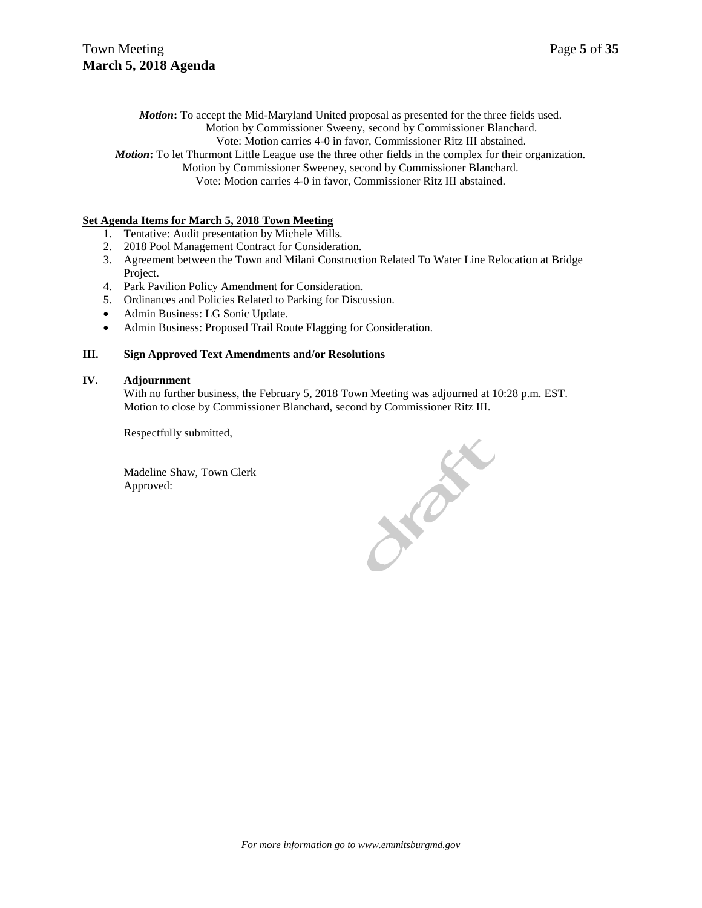*Motion***:** To accept the Mid-Maryland United proposal as presented for the three fields used.

Motion by Commissioner Sweeny, second by Commissioner Blanchard.

Vote: Motion carries 4-0 in favor, Commissioner Ritz III abstained.

*Motion*: To let Thurmont Little League use the three other fields in the complex for their organization.

Motion by Commissioner Sweeney, second by Commissioner Blanchard. Vote: Motion carries 4-0 in favor, Commissioner Ritz III abstained.

#### **Set Agenda Items for March 5, 2018 Town Meeting**

- 1. Tentative: Audit presentation by Michele Mills.
- 2. 2018 Pool Management Contract for Consideration.
- 3. Agreement between the Town and Milani Construction Related To Water Line Relocation at Bridge Project.
- 4. Park Pavilion Policy Amendment for Consideration.
- 5. Ordinances and Policies Related to Parking for Discussion.
- Admin Business: LG Sonic Update.
- Admin Business: Proposed Trail Route Flagging for Consideration.

#### **III. Sign Approved Text Amendments and/or Resolutions**

#### **IV. Adjournment**

With no further business, the February 5, 2018 Town Meeting was adjourned at 10:28 p.m. EST. Motion to close by Commissioner Blanchard, second by Commissioner Ritz III.

Respectfully submitted,

Madeline Shaw, Town Clerk Approved:

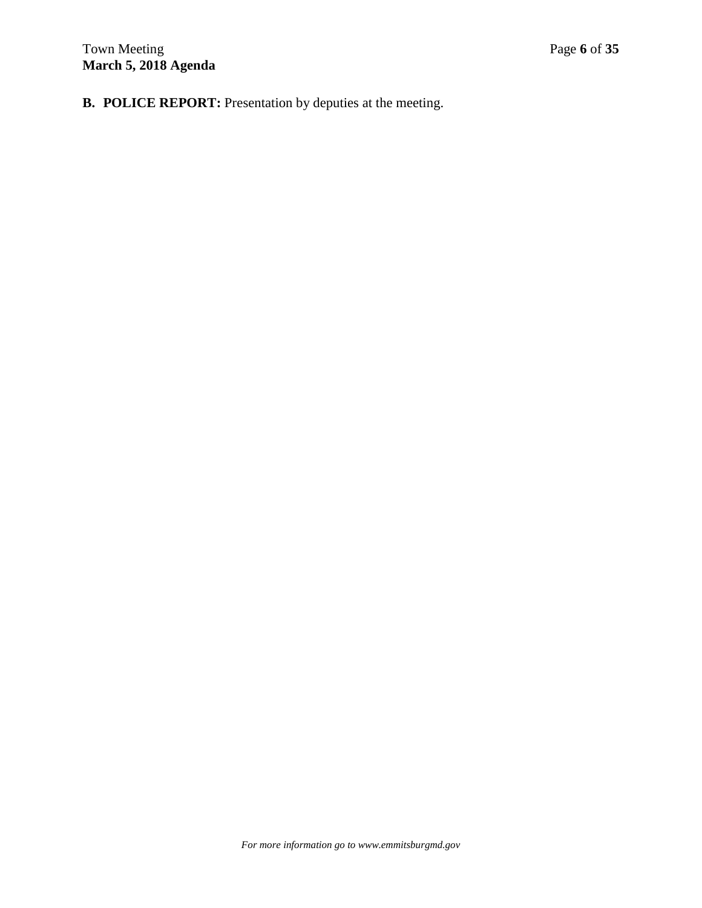**B. POLICE REPORT:** Presentation by deputies at the meeting.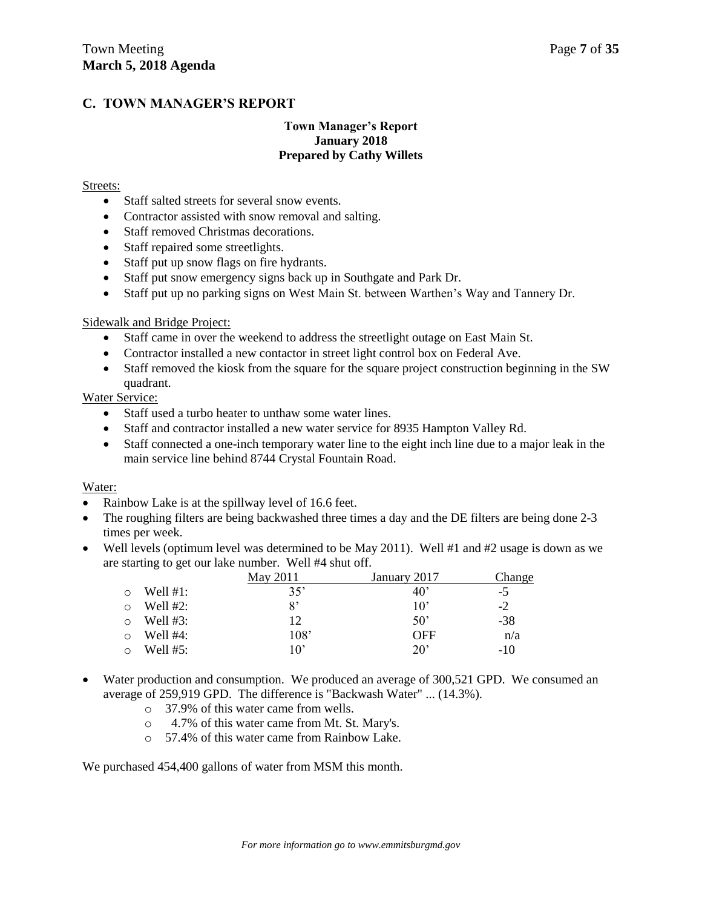## **C. TOWN MANAGER'S REPORT**

#### **Town Manager's Report January 2018 Prepared by Cathy Willets**

#### Streets:

- Staff salted streets for several snow events.
- Contractor assisted with snow removal and salting.
- Staff removed Christmas decorations.
- Staff repaired some streetlights.
- Staff put up snow flags on fire hydrants.
- Staff put snow emergency signs back up in Southgate and Park Dr.
- Staff put up no parking signs on West Main St. between Warthen's Way and Tannery Dr.

#### Sidewalk and Bridge Project:

- Staff came in over the weekend to address the streetlight outage on East Main St.
- Contractor installed a new contactor in street light control box on Federal Ave.
- Staff removed the kiosk from the square for the square project construction beginning in the SW quadrant.

#### Water Service:

- Staff used a turbo heater to unthaw some water lines.
- Staff and contractor installed a new water service for 8935 Hampton Valley Rd.
- Staff connected a one-inch temporary water line to the eight inch line due to a major leak in the main service line behind 8744 Crystal Fountain Road.

#### Water:

- Rainbow Lake is at the spillway level of 16.6 feet.
- The roughing filters are being backwashed three times a day and the DE filters are being done 2-3 times per week.
- Well levels (optimum level was determined to be May 2011). Well #1 and #2 usage is down as we are starting to get our lake number. Well #4 shut off.

|            |             | May 2011 | January 2017 | Change |
|------------|-------------|----------|--------------|--------|
| ◯          | Well $#1$ : | 35'      | $40^{\circ}$ | -5     |
| ∩          | Well $#2$ : | 8'       | $10^{\circ}$ | $-2$   |
| $\bigcirc$ | Well $#3$ : | 12       | $50^{\circ}$ | $-38$  |
| ◯          | Well $#4$ : | 108'     | OFF          | n/a    |
| $\Omega$   | Well $#5:$  | 10'      | $20^{\circ}$ | -10    |

- Water production and consumption. We produced an average of 300,521 GPD. We consumed an average of 259,919 GPD. The difference is "Backwash Water" ... (14.3%).
	- o 37.9% of this water came from wells.
	- o 4.7% of this water came from Mt. St. Mary's.
	- o 57.4% of this water came from Rainbow Lake.

We purchased  $454,400$  gallons of water from MSM this month.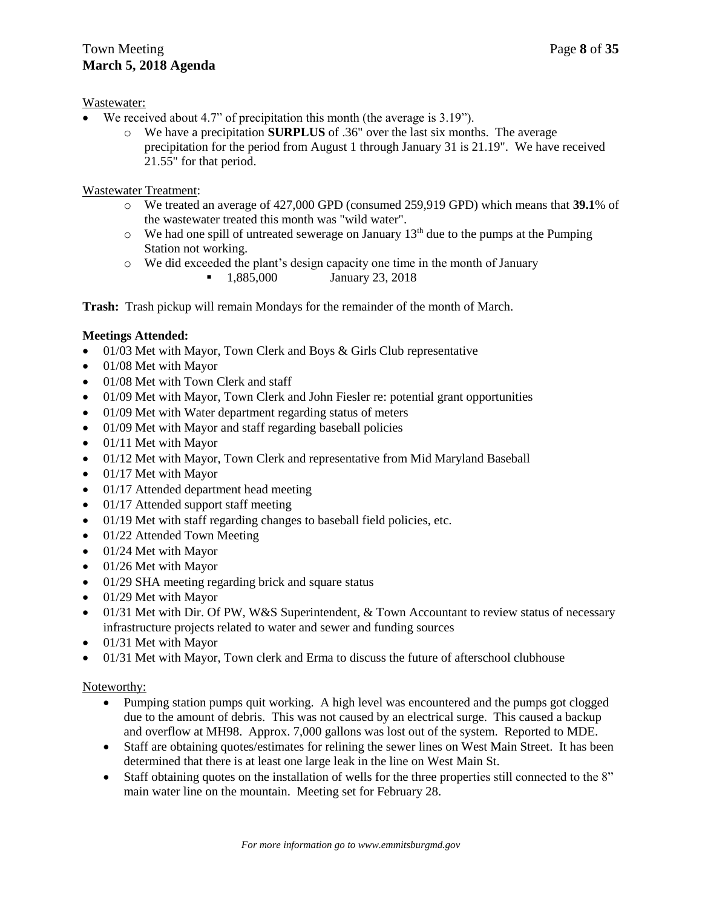## Town Meeting Page 8 of 35 **March 5, 2018 Agenda**

#### Wastewater:

- We received about 4.7" of precipitation this month (the average is 3.19").
	- o We have a precipitation **SURPLUS** of .36" over the last six months. The average precipitation for the period from August 1 through January 31 is 21.19". We have received 21.55" for that period.

Wastewater Treatment:

- o We treated an average of 427,000 GPD (consumed 259,919 GPD) which means that **39.1**% of the wastewater treated this month was "wild water".
- $\circ$  We had one spill of untreated sewerage on January 13<sup>th</sup> due to the pumps at the Pumping Station not working.
- o We did exceeded the plant's design capacity one time in the month of January **1,885,000** January 23, 2018

**Trash:** Trash pickup will remain Mondays for the remainder of the month of March.

## **Meetings Attended:**

- $\bullet$  01/03 Met with Mayor, Town Clerk and Boys & Girls Club representative
- 01/08 Met with Mayor
- 01/08 Met with Town Clerk and staff
- 01/09 Met with Mayor, Town Clerk and John Fiesler re: potential grant opportunities
- 01/09 Met with Water department regarding status of meters
- 01/09 Met with Mayor and staff regarding baseball policies
- $\bullet$  01/11 Met with Mayor
- 01/12 Met with Mayor, Town Clerk and representative from Mid Maryland Baseball
- $\bullet$  01/17 Met with Mayor
- 01/17 Attended department head meeting
- $\bullet$  01/17 Attended support staff meeting
- 01/19 Met with staff regarding changes to baseball field policies, etc.
- 01/22 Attended Town Meeting
- $\bullet$  01/24 Met with Mayor
- 01/26 Met with Mayor
- 01/29 SHA meeting regarding brick and square status
- $\bullet$  01/29 Met with Mayor
- $\bullet$  01/31 Met with Dir. Of PW, W&S Superintendent, & Town Accountant to review status of necessary infrastructure projects related to water and sewer and funding sources
- 01/31 Met with Mayor
- 01/31 Met with Mayor, Town clerk and Erma to discuss the future of afterschool clubhouse

#### Noteworthy:

- Pumping station pumps quit working. A high level was encountered and the pumps got clogged due to the amount of debris. This was not caused by an electrical surge. This caused a backup and overflow at MH98. Approx. 7,000 gallons was lost out of the system. Reported to MDE.
- Staff are obtaining quotes/estimates for relining the sewer lines on West Main Street. It has been determined that there is at least one large leak in the line on West Main St.
- Staff obtaining quotes on the installation of wells for the three properties still connected to the 8" main water line on the mountain. Meeting set for February 28.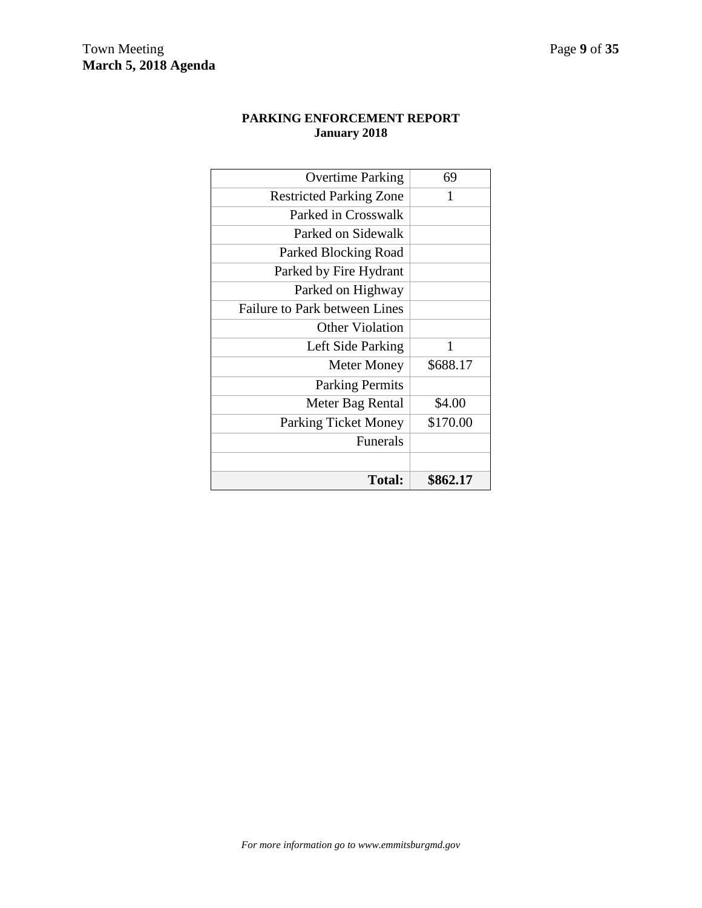#### **PARKING ENFORCEMENT REPORT January 2018**

| <b>Overtime Parking</b>              | 69       |
|--------------------------------------|----------|
| <b>Restricted Parking Zone</b>       | 1        |
| Parked in Crosswalk                  |          |
| Parked on Sidewalk                   |          |
| Parked Blocking Road                 |          |
| Parked by Fire Hydrant               |          |
| Parked on Highway                    |          |
| <b>Failure to Park between Lines</b> |          |
| <b>Other Violation</b>               |          |
| Left Side Parking                    | 1        |
| <b>Meter Money</b>                   | \$688.17 |
| <b>Parking Permits</b>               |          |
| Meter Bag Rental                     | \$4.00   |
| <b>Parking Ticket Money</b>          | \$170.00 |
| <b>Funerals</b>                      |          |
|                                      |          |
| Total:                               | \$862.17 |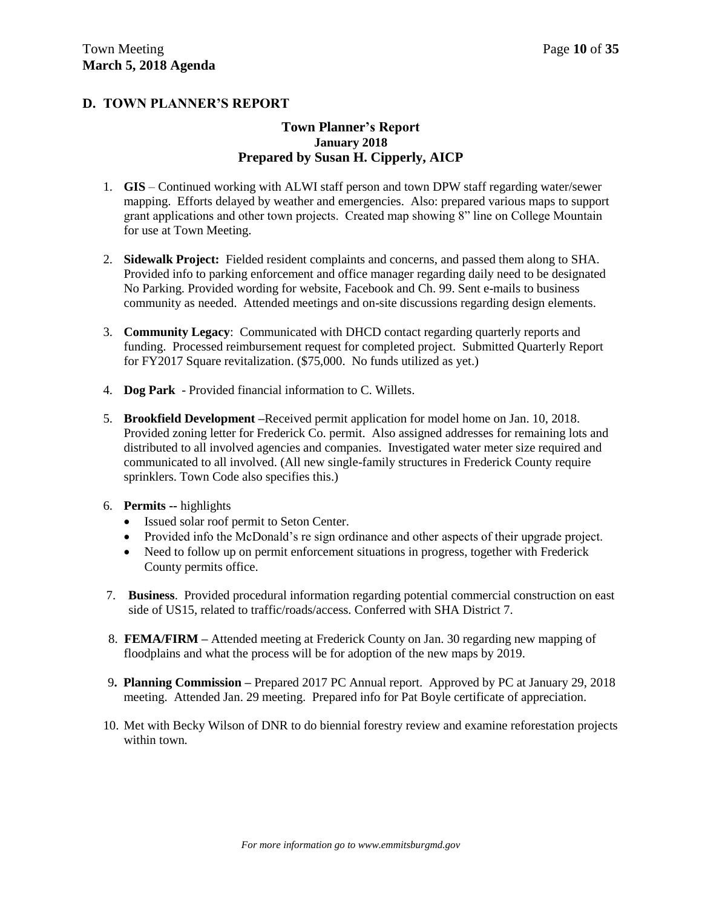## **D. TOWN PLANNER'S REPORT**

#### **Town Planner's Report January 2018 Prepared by Susan H. Cipperly, AICP**

- 1. **GIS** Continued working with ALWI staff person and town DPW staff regarding water/sewer mapping. Efforts delayed by weather and emergencies. Also: prepared various maps to support grant applications and other town projects. Created map showing 8" line on College Mountain for use at Town Meeting.
- 2. **Sidewalk Project:** Fielded resident complaints and concerns, and passed them along to SHA. Provided info to parking enforcement and office manager regarding daily need to be designated No Parking. Provided wording for website, Facebook and Ch. 99. Sent e-mails to business community as needed. Attended meetings and on-site discussions regarding design elements.
- 3. **Community Legacy**: Communicated with DHCD contact regarding quarterly reports and funding. Processed reimbursement request for completed project. Submitted Quarterly Report for FY2017 Square revitalization. (\$75,000. No funds utilized as yet.)
- 4. **Dog Park** Provided financial information to C. Willets.
- 5. **Brookfield Development –**Received permit application for model home on Jan. 10, 2018. Provided zoning letter for Frederick Co. permit. Also assigned addresses for remaining lots and distributed to all involved agencies and companies. Investigated water meter size required and communicated to all involved. (All new single-family structures in Frederick County require sprinklers. Town Code also specifies this.)
- 6. **Permits --** highlights
	- Issued solar roof permit to Seton Center.
	- Provided info the McDonald's re sign ordinance and other aspects of their upgrade project.
	- Need to follow up on permit enforcement situations in progress, together with Frederick County permits office.
- 7. **Business**. Provided procedural information regarding potential commercial construction on east side of US15, related to traffic/roads/access. Conferred with SHA District 7.
- 8. **FEMA/FIRM –** Attended meeting at Frederick County on Jan. 30 regarding new mapping of floodplains and what the process will be for adoption of the new maps by 2019.
- 9**. Planning Commission –** Prepared 2017 PC Annual report. Approved by PC at January 29, 2018 meeting. Attended Jan. 29 meeting. Prepared info for Pat Boyle certificate of appreciation.
- 10. Met with Becky Wilson of DNR to do biennial forestry review and examine reforestation projects within town.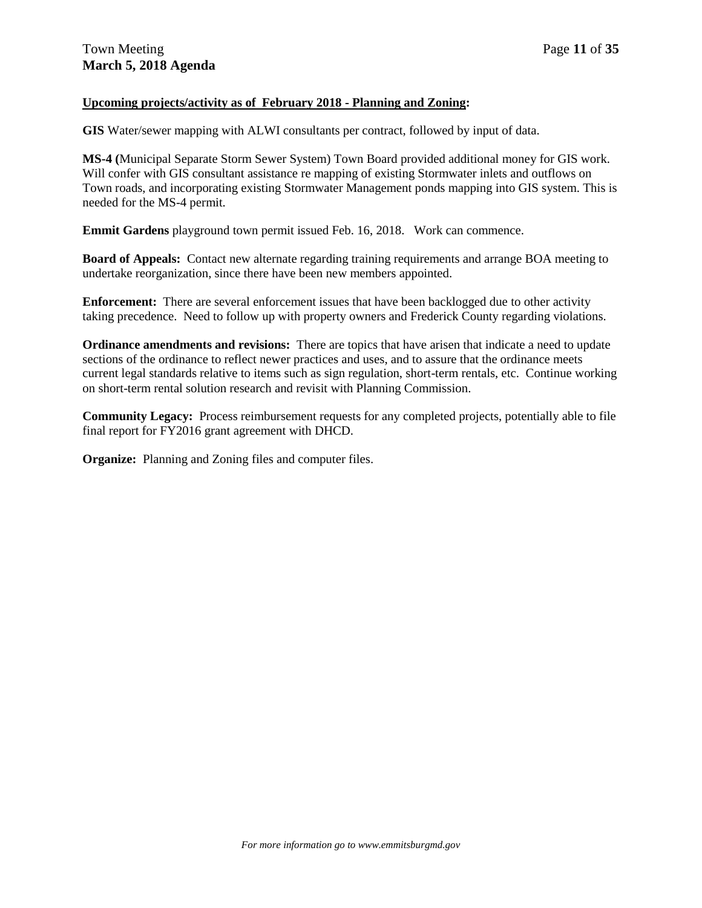#### **Upcoming projects/activity as of February 2018 - Planning and Zoning:**

**GIS** Water/sewer mapping with ALWI consultants per contract, followed by input of data.

**MS-4 (**Municipal Separate Storm Sewer System) Town Board provided additional money for GIS work. Will confer with GIS consultant assistance re mapping of existing Stormwater inlets and outflows on Town roads, and incorporating existing Stormwater Management ponds mapping into GIS system. This is needed for the MS-4 permit.

**Emmit Gardens** playground town permit issued Feb. 16, 2018. Work can commence.

**Board of Appeals:** Contact new alternate regarding training requirements and arrange BOA meeting to undertake reorganization, since there have been new members appointed.

**Enforcement:** There are several enforcement issues that have been backlogged due to other activity taking precedence. Need to follow up with property owners and Frederick County regarding violations.

**Ordinance amendments and revisions:** There are topics that have arisen that indicate a need to update sections of the ordinance to reflect newer practices and uses, and to assure that the ordinance meets current legal standards relative to items such as sign regulation, short-term rentals, etc. Continue working on short-term rental solution research and revisit with Planning Commission.

**Community Legacy:** Process reimbursement requests for any completed projects, potentially able to file final report for FY2016 grant agreement with DHCD.

**Organize:** Planning and Zoning files and computer files.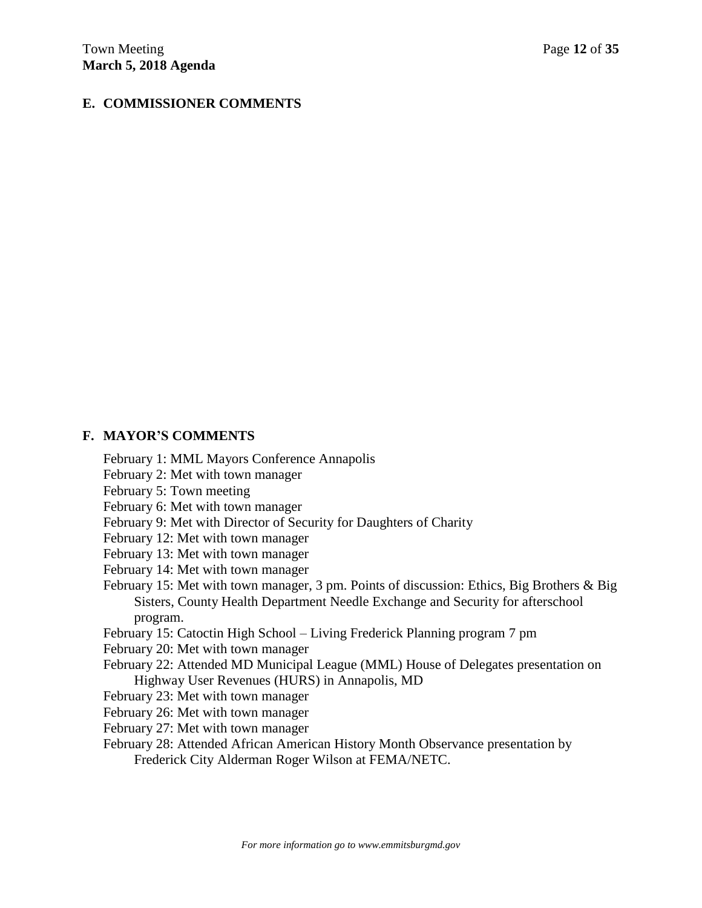## **E. COMMISSIONER COMMENTS**

#### **F. MAYOR'S COMMENTS**

February 1: MML Mayors Conference Annapolis

- February 2: Met with town manager
- February 5: Town meeting
- February 6: Met with town manager
- February 9: Met with Director of Security for Daughters of Charity
- February 12: Met with town manager
- February 13: Met with town manager
- February 14: Met with town manager
- February 15: Met with town manager, 3 pm. Points of discussion: Ethics, Big Brothers & Big Sisters, County Health Department Needle Exchange and Security for afterschool program.
- February 15: Catoctin High School Living Frederick Planning program 7 pm
- February 20: Met with town manager
- February 22: Attended MD Municipal League (MML) House of Delegates presentation on Highway User Revenues (HURS) in Annapolis, MD
- February 23: Met with town manager
- February 26: Met with town manager
- February 27: Met with town manager
- February 28: Attended African American History Month Observance presentation by Frederick City Alderman Roger Wilson at FEMA/NETC.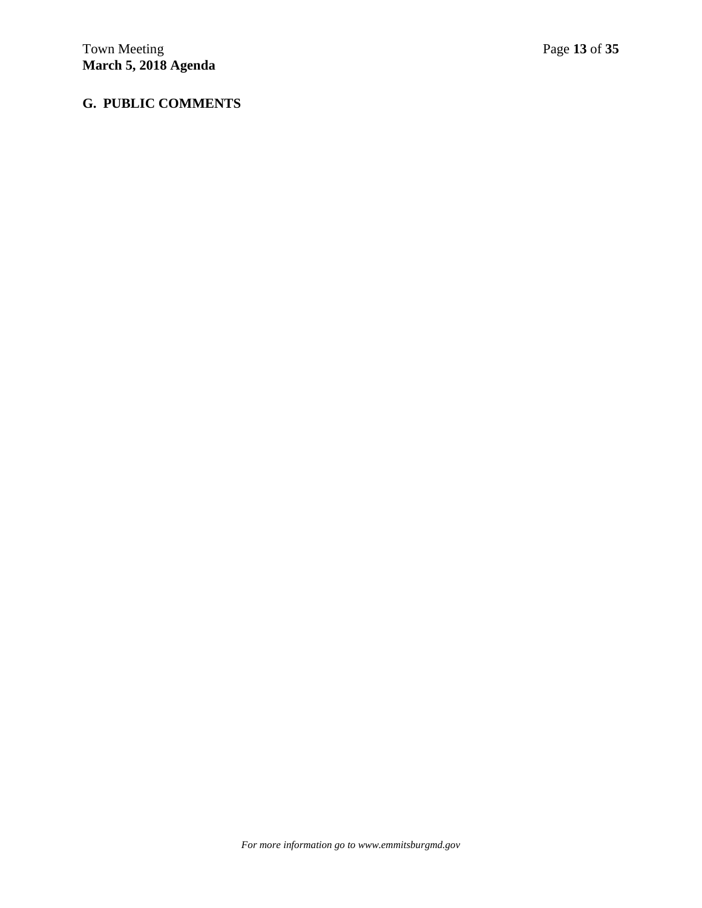## **G. PUBLIC COMMENTS**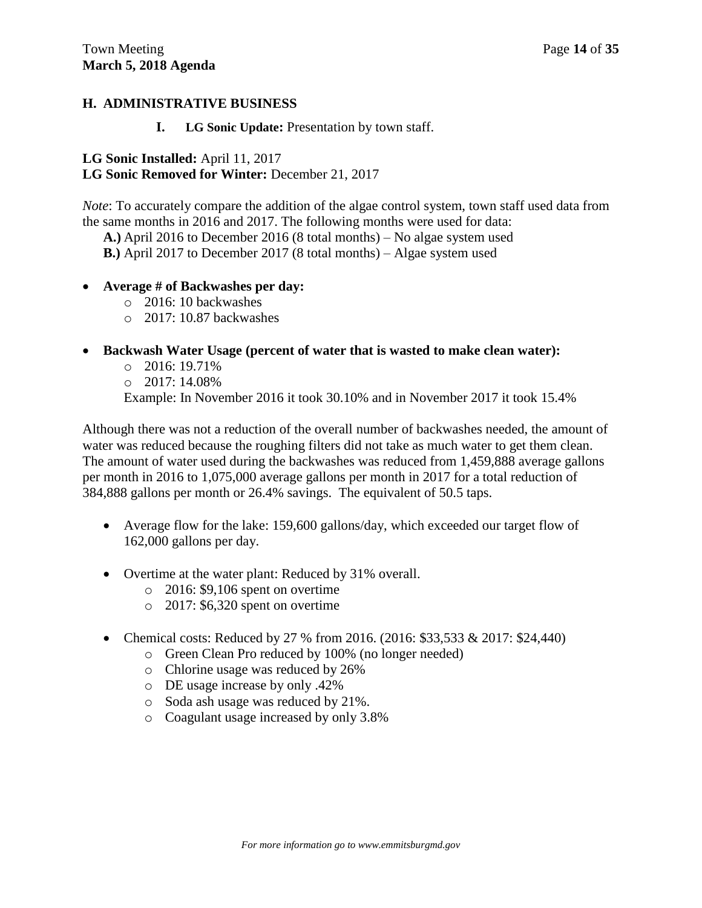## **H. ADMINISTRATIVE BUSINESS**

#### **I. LG Sonic Update:** Presentation by town staff.

## **LG Sonic Installed:** April 11, 2017

## **LG Sonic Removed for Winter:** December 21, 2017

*Note*: To accurately compare the addition of the algae control system, town staff used data from the same months in 2016 and 2017. The following months were used for data:

**A.)** April 2016 to December 2016 (8 total months) – No algae system used

**B.)** April 2017 to December 2017 (8 total months) – Algae system used

- **Average # of Backwashes per day:**
	- o 2016: 10 backwashes
	- $\Omega$  2017: 10.87 backwashes

## **Backwash Water Usage (percent of water that is wasted to make clean water):**

- $\circ$  2016: 19.71%
- o 2017: 14.08%

Example: In November 2016 it took 30.10% and in November 2017 it took 15.4%

Although there was not a reduction of the overall number of backwashes needed, the amount of water was reduced because the roughing filters did not take as much water to get them clean. The amount of water used during the backwashes was reduced from 1,459,888 average gallons per month in 2016 to 1,075,000 average gallons per month in 2017 for a total reduction of 384,888 gallons per month or 26.4% savings. The equivalent of 50.5 taps.

- Average flow for the lake: 159,600 gallons/day, which exceeded our target flow of 162,000 gallons per day.
- Overtime at the water plant: Reduced by 31% overall.
	- o 2016: \$9,106 spent on overtime
	- o 2017: \$6,320 spent on overtime
- Chemical costs: Reduced by 27 % from 2016. (2016: \$33,533 & 2017: \$24,440)
	- o Green Clean Pro reduced by 100% (no longer needed)
	- o Chlorine usage was reduced by 26%
	- o DE usage increase by only .42%
	- o Soda ash usage was reduced by 21%.
	- o Coagulant usage increased by only 3.8%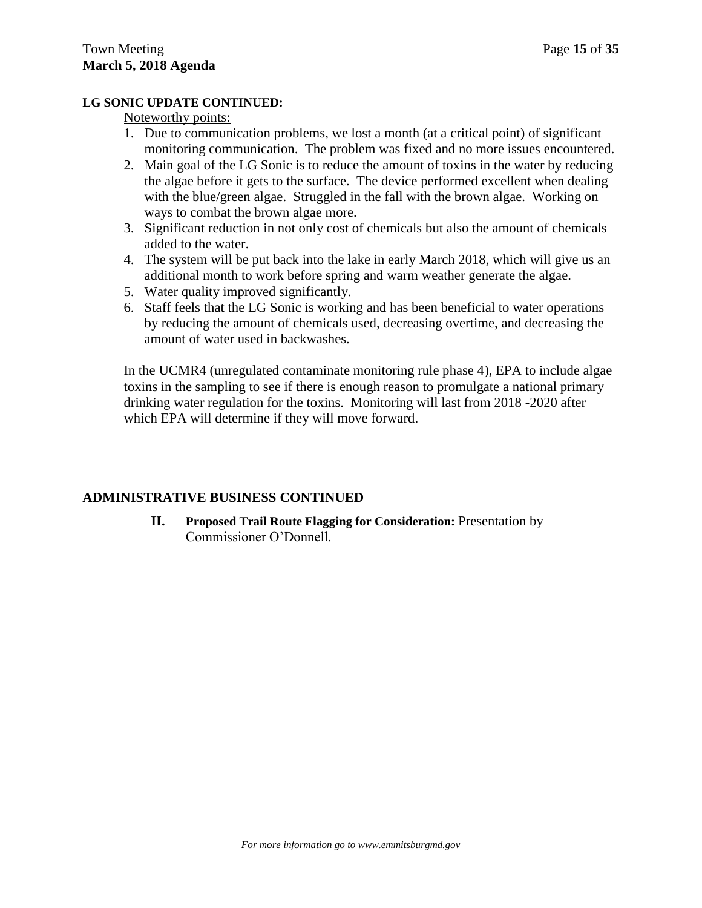#### **LG SONIC UPDATE CONTINUED:**

#### Noteworthy points:

- 1. Due to communication problems, we lost a month (at a critical point) of significant monitoring communication. The problem was fixed and no more issues encountered.
- 2. Main goal of the LG Sonic is to reduce the amount of toxins in the water by reducing the algae before it gets to the surface. The device performed excellent when dealing with the blue/green algae. Struggled in the fall with the brown algae. Working on ways to combat the brown algae more.
- 3. Significant reduction in not only cost of chemicals but also the amount of chemicals added to the water.
- 4. The system will be put back into the lake in early March 2018, which will give us an additional month to work before spring and warm weather generate the algae.
- 5. Water quality improved significantly.
- 6. Staff feels that the LG Sonic is working and has been beneficial to water operations by reducing the amount of chemicals used, decreasing overtime, and decreasing the amount of water used in backwashes.

In the UCMR4 (unregulated contaminate monitoring rule phase 4), EPA to include algae toxins in the sampling to see if there is enough reason to promulgate a national primary drinking water regulation for the toxins. Monitoring will last from 2018 -2020 after which EPA will determine if they will move forward.

## **ADMINISTRATIVE BUSINESS CONTINUED**

**II. Proposed Trail Route Flagging for Consideration:** Presentation by Commissioner O'Donnell.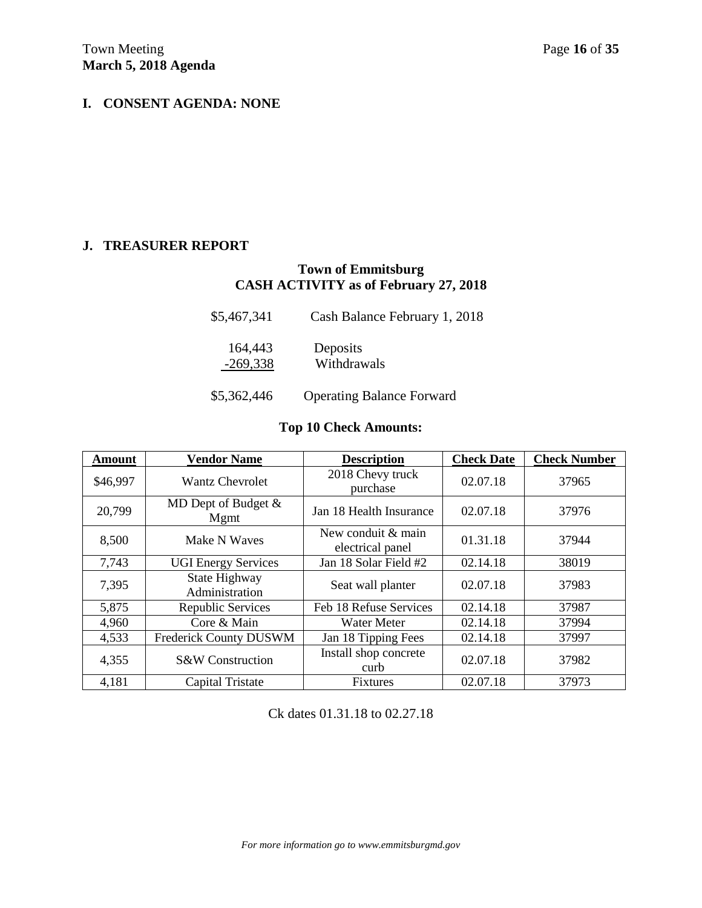## **I. CONSENT AGENDA: NONE**

#### **J. TREASURER REPORT**

## **Town of Emmitsburg CASH ACTIVITY as of February 27, 2018**

| \$5,467,341           | Cash Balance February 1, 2018    |
|-----------------------|----------------------------------|
| 164,443<br>$-269,338$ | Deposits<br>Withdrawals          |
| \$5,362,446           | <b>Operating Balance Forward</b> |

## **Top 10 Check Amounts:**

| <b>Amount</b> | <b>Vendor Name</b>              | <b>Description</b>                     | <b>Check Date</b> | <b>Check Number</b> |
|---------------|---------------------------------|----------------------------------------|-------------------|---------------------|
| \$46,997      | <b>Wantz Chevrolet</b>          | 2018 Chevy truck<br>purchase           | 02.07.18          | 37965               |
| 20,799        | MD Dept of Budget $&$<br>Mgmt   | Jan 18 Health Insurance                | 02.07.18          | 37976               |
| 8,500         | Make N Waves                    | New conduit & main<br>electrical panel | 01.31.18          | 37944               |
| 7,743         | <b>UGI Energy Services</b>      | Jan 18 Solar Field #2                  | 02.14.18          | 38019               |
| 7,395         | State Highway<br>Administration | Seat wall planter                      | 02.07.18          | 37983               |
| 5,875         | Republic Services               | Feb 18 Refuse Services                 | 02.14.18          | 37987               |
| 4,960         | Core & Main                     | <b>Water Meter</b>                     | 02.14.18          | 37994               |
| 4,533         | Frederick County DUSWM          | Jan 18 Tipping Fees                    | 02.14.18          | 37997               |
| 4,355         | S&W Construction                | Install shop concrete<br>curb          | 02.07.18          | 37982               |
| 4,181         | <b>Capital Tristate</b>         | <b>Fixtures</b>                        | 02.07.18          | 37973               |

Ck dates 01.31.18 to 02.27.18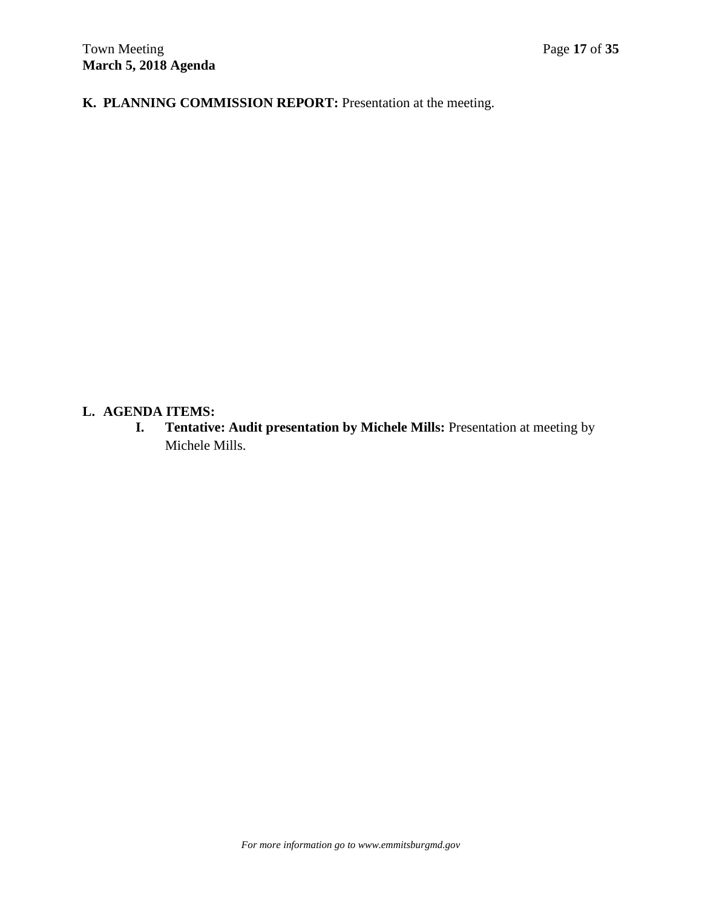**K. PLANNING COMMISSION REPORT:** Presentation at the meeting.

## **L. AGENDA ITEMS:**

**I. Tentative: Audit presentation by Michele Mills:** Presentation at meeting by Michele Mills.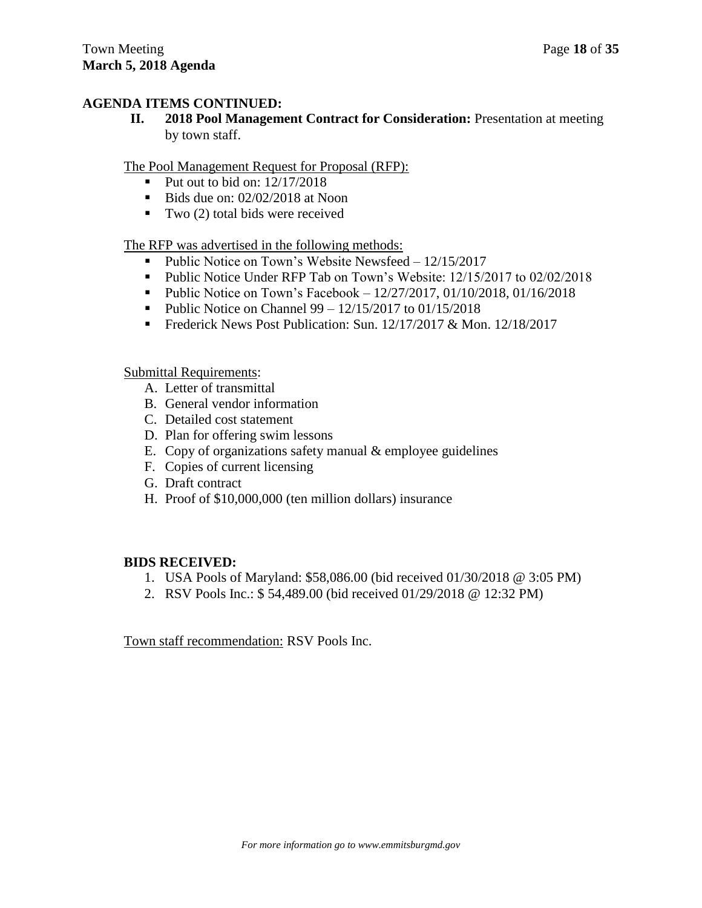#### **AGENDA ITEMS CONTINUED:**

**II. 2018 Pool Management Contract for Consideration:** Presentation at meeting by town staff.

The Pool Management Request for Proposal (RFP):

- Put out to bid on:  $12/17/2018$
- Bids due on:  $02/02/2018$  at Noon
- Two  $(2)$  total bids were received

The RFP was advertised in the following methods:

- Public Notice on Town's Website Newsfeed  $12/15/2017$
- Public Notice Under RFP Tab on Town's Website: 12/15/2017 to 02/02/2018
- Public Notice on Town's Facebook  $12/27/2017$ ,  $01/10/2018$ ,  $01/16/2018$
- Public Notice on Channel  $99 12/15/2017$  to  $01/15/2018$
- Frederick News Post Publication: Sun. 12/17/2017 & Mon. 12/18/2017

Submittal Requirements:

- A. Letter of transmittal
- B. General vendor information
- C. Detailed cost statement
- D. Plan for offering swim lessons
- E. Copy of organizations safety manual & employee guidelines
- F. Copies of current licensing
- G. Draft contract
- H. Proof of \$10,000,000 (ten million dollars) insurance

## **BIDS RECEIVED:**

- 1. USA Pools of Maryland: \$58,086.00 (bid received 01/30/2018 @ 3:05 PM)
- 2. RSV Pools Inc.: \$ 54,489.00 (bid received 01/29/2018 @ 12:32 PM)

Town staff recommendation: RSV Pools Inc.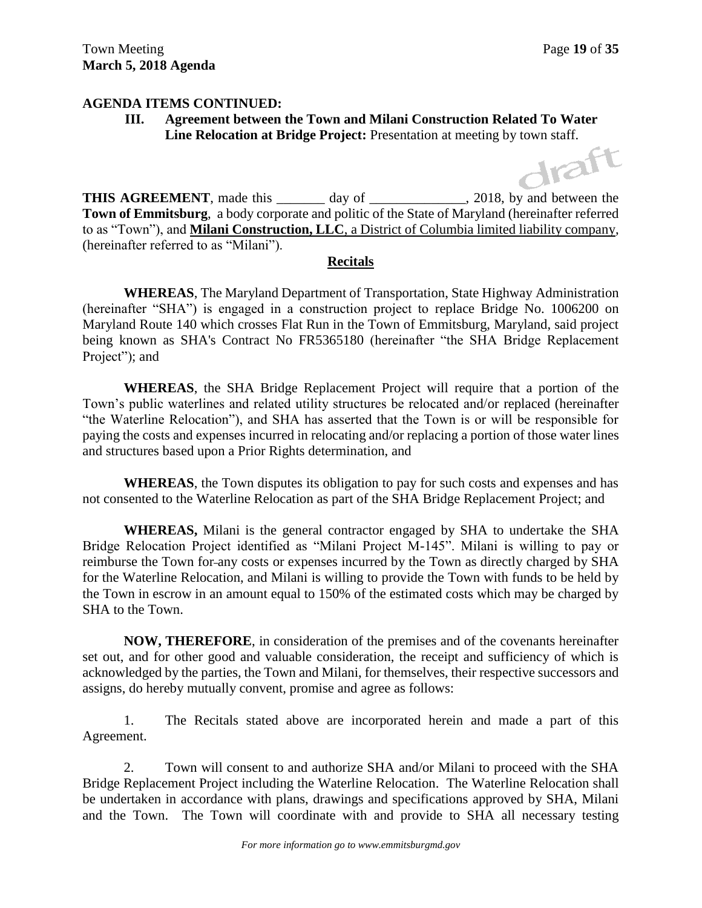#### **AGENDA ITEMS CONTINUED:**

**III. Agreement between the Town and Milani Construction Related To Water Line Relocation at Bridge Project:** Presentation at meeting by town staff.

**THIS AGREEMENT**, made this day of 3018, by and between the **Town of Emmitsburg**, a body corporate and politic of the State of Maryland (hereinafter referred to as "Town"), and **Milani Construction, LLC**, a District of Columbia limited liability company, (hereinafter referred to as "Milani").

#### **Recitals**

**WHEREAS**, The Maryland Department of Transportation, State Highway Administration (hereinafter "SHA") is engaged in a construction project to replace Bridge No. 1006200 on Maryland Route 140 which crosses Flat Run in the Town of Emmitsburg, Maryland, said project being known as SHA's Contract No FR5365180 (hereinafter "the SHA Bridge Replacement Project"); and

**WHEREAS**, the SHA Bridge Replacement Project will require that a portion of the Town's public waterlines and related utility structures be relocated and/or replaced (hereinafter "the Waterline Relocation"), and SHA has asserted that the Town is or will be responsible for paying the costs and expenses incurred in relocating and/or replacing a portion of those water lines and structures based upon a Prior Rights determination, and

**WHEREAS**, the Town disputes its obligation to pay for such costs and expenses and has not consented to the Waterline Relocation as part of the SHA Bridge Replacement Project; and

**WHEREAS,** Milani is the general contractor engaged by SHA to undertake the SHA Bridge Relocation Project identified as "Milani Project M-145". Milani is willing to pay or reimburse the Town for any costs or expenses incurred by the Town as directly charged by SHA for the Waterline Relocation, and Milani is willing to provide the Town with funds to be held by the Town in escrow in an amount equal to 150% of the estimated costs which may be charged by SHA to the Town.

**NOW, THEREFORE**, in consideration of the premises and of the covenants hereinafter set out, and for other good and valuable consideration, the receipt and sufficiency of which is acknowledged by the parties, the Town and Milani, for themselves, their respective successors and assigns, do hereby mutually convent, promise and agree as follows:

1. The Recitals stated above are incorporated herein and made a part of this Agreement.

2. Town will consent to and authorize SHA and/or Milani to proceed with the SHA Bridge Replacement Project including the Waterline Relocation. The Waterline Relocation shall be undertaken in accordance with plans, drawings and specifications approved by SHA, Milani and the Town. The Town will coordinate with and provide to SHA all necessary testing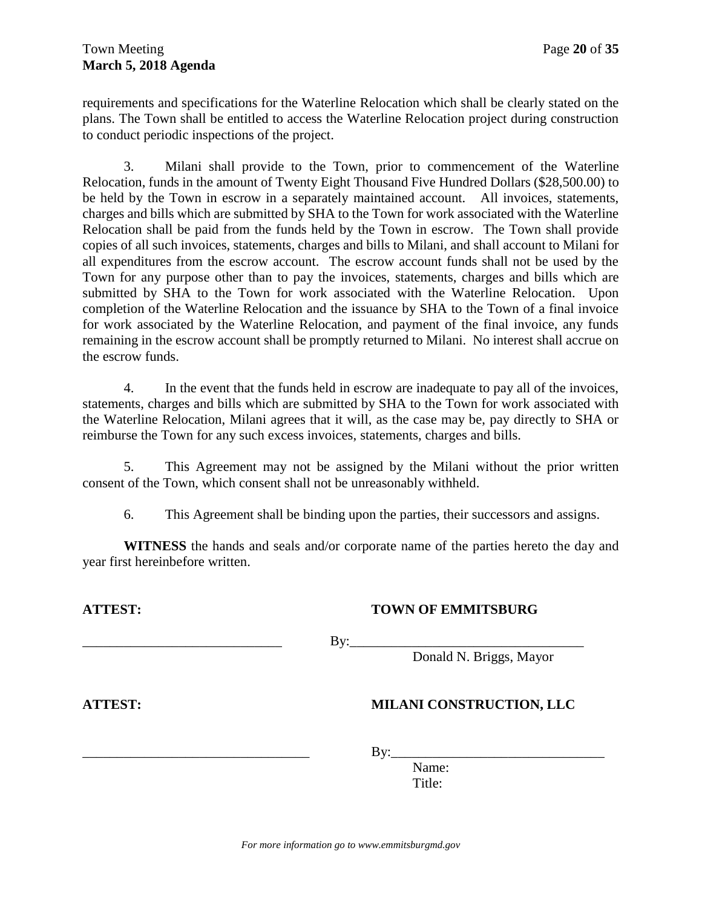requirements and specifications for the Waterline Relocation which shall be clearly stated on the plans. The Town shall be entitled to access the Waterline Relocation project during construction to conduct periodic inspections of the project.

3. Milani shall provide to the Town, prior to commencement of the Waterline Relocation, funds in the amount of Twenty Eight Thousand Five Hundred Dollars (\$28,500.00) to be held by the Town in escrow in a separately maintained account. All invoices, statements, charges and bills which are submitted by SHA to the Town for work associated with the Waterline Relocation shall be paid from the funds held by the Town in escrow. The Town shall provide copies of all such invoices, statements, charges and bills to Milani, and shall account to Milani for all expenditures from the escrow account. The escrow account funds shall not be used by the Town for any purpose other than to pay the invoices, statements, charges and bills which are submitted by SHA to the Town for work associated with the Waterline Relocation. Upon completion of the Waterline Relocation and the issuance by SHA to the Town of a final invoice for work associated by the Waterline Relocation, and payment of the final invoice, any funds remaining in the escrow account shall be promptly returned to Milani. No interest shall accrue on the escrow funds.

4. In the event that the funds held in escrow are inadequate to pay all of the invoices, statements, charges and bills which are submitted by SHA to the Town for work associated with the Waterline Relocation, Milani agrees that it will, as the case may be, pay directly to SHA or reimburse the Town for any such excess invoices, statements, charges and bills.

5. This Agreement may not be assigned by the Milani without the prior written consent of the Town, which consent shall not be unreasonably withheld.

6. This Agreement shall be binding upon the parties, their successors and assigns.

**WITNESS** the hands and seals and/or corporate name of the parties hereto the day and year first hereinbefore written.

## **ATTEST: TOWN OF EMMITSBURG**

\_\_\_\_\_\_\_\_\_\_\_\_\_\_\_\_\_\_\_\_\_\_\_\_\_\_\_\_\_ By:\_\_\_\_\_\_\_\_\_\_\_\_\_\_\_\_\_\_\_\_\_\_\_\_\_\_\_\_\_\_\_\_\_\_

Donald N. Briggs, Mayor

## **ATTEST: MILANI CONSTRUCTION, LLC**

\_\_\_\_\_\_\_\_\_\_\_\_\_\_\_\_\_\_\_\_\_\_\_\_\_\_\_\_\_\_\_\_\_ By:\_\_\_\_\_\_\_\_\_\_\_\_\_\_\_\_\_\_\_\_\_\_\_\_\_\_\_\_\_\_\_

Name: Title:

*For more information go to www.emmitsburgmd.gov*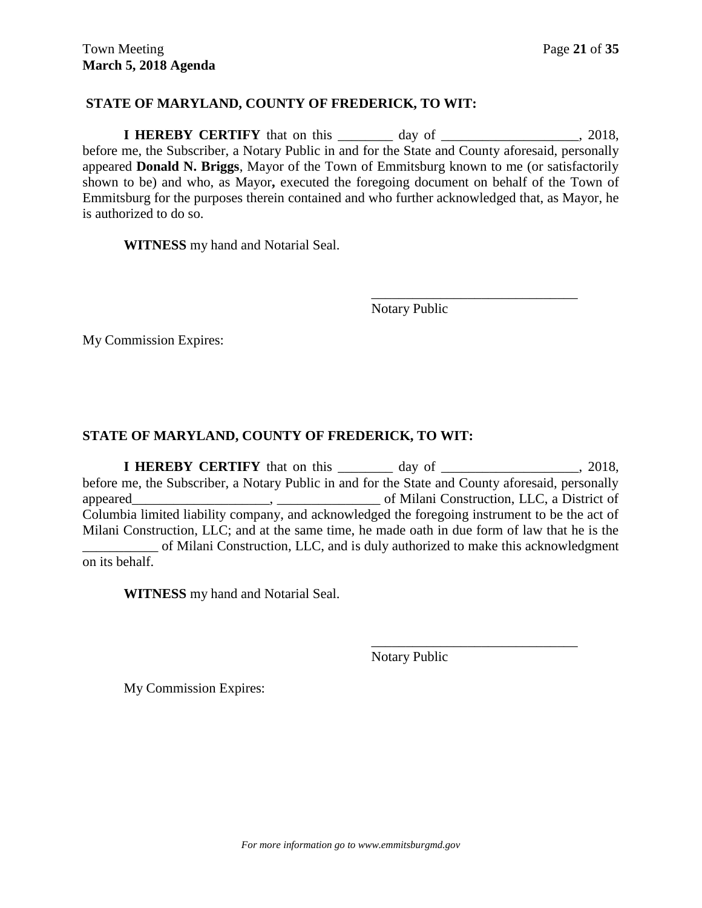## **STATE OF MARYLAND, COUNTY OF FREDERICK, TO WIT:**

**I HEREBY CERTIFY** that on this day of 3018, before me, the Subscriber, a Notary Public in and for the State and County aforesaid, personally appeared **Donald N. Briggs**, Mayor of the Town of Emmitsburg known to me (or satisfactorily shown to be) and who, as Mayor**,** executed the foregoing document on behalf of the Town of Emmitsburg for the purposes therein contained and who further acknowledged that, as Mayor, he is authorized to do so.

**WITNESS** my hand and Notarial Seal.

Notary Public

\_\_\_\_\_\_\_\_\_\_\_\_\_\_\_\_\_\_\_\_\_\_\_\_\_\_\_\_\_\_

My Commission Expires:

## **STATE OF MARYLAND, COUNTY OF FREDERICK, TO WIT:**

**I HEREBY CERTIFY** that on this day of 3018, before me, the Subscriber, a Notary Public in and for the State and County aforesaid, personally appeared  $\blacksquare$ ,  $\blacksquare$  of Milani Construction, LLC, a District of Columbia limited liability company, and acknowledged the foregoing instrument to be the act of Milani Construction, LLC; and at the same time, he made oath in due form of law that he is the \_\_\_\_\_\_\_\_\_\_\_ of Milani Construction, LLC, and is duly authorized to make this acknowledgment on its behalf.

**WITNESS** my hand and Notarial Seal.

Notary Public

\_\_\_\_\_\_\_\_\_\_\_\_\_\_\_\_\_\_\_\_\_\_\_\_\_\_\_\_\_\_

My Commission Expires: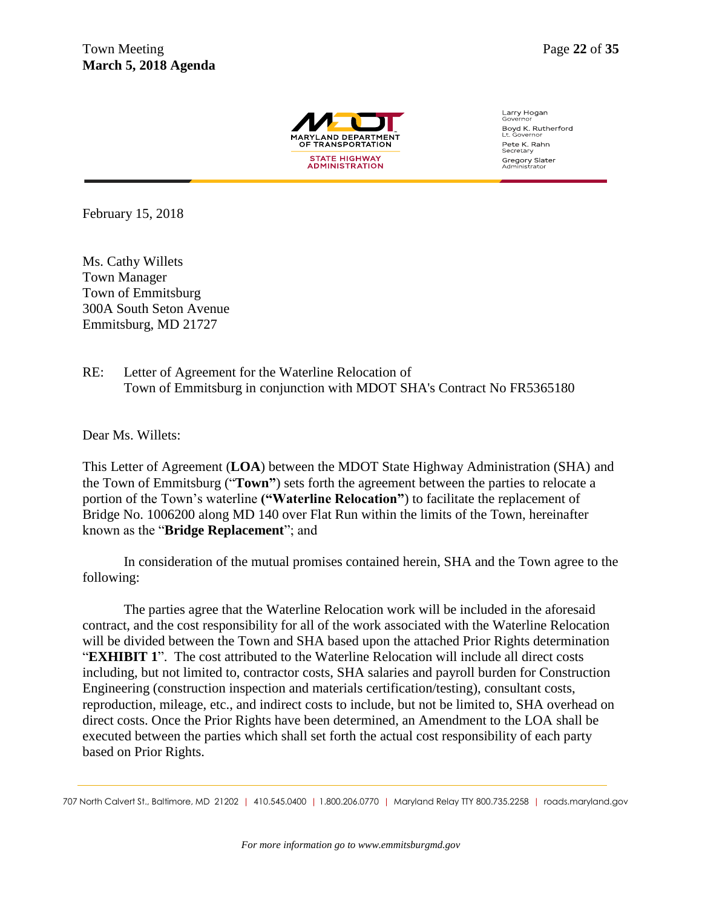

Larry Hogan Boyd K. Rutherford Pete K. Rahn<br>Secretary Gregory Slater<br>Administrator

February 15, 2018

Ms. Cathy Willets Town Manager Town of Emmitsburg 300A South Seton Avenue Emmitsburg, MD 21727

## RE: Letter of Agreement for the Waterline Relocation of Town of Emmitsburg in conjunction with MDOT SHA's Contract No FR5365180

Dear Ms. Willets:

This Letter of Agreement (**LOA**) between the MDOT State Highway Administration (SHA) and the Town of Emmitsburg ("**Town"**) sets forth the agreement between the parties to relocate a portion of the Town's waterline **("Waterline Relocation"**) to facilitate the replacement of Bridge No. 1006200 along MD 140 over Flat Run within the limits of the Town, hereinafter known as the "**Bridge Replacement**"; and

In consideration of the mutual promises contained herein, SHA and the Town agree to the following:

The parties agree that the Waterline Relocation work will be included in the aforesaid contract, and the cost responsibility for all of the work associated with the Waterline Relocation will be divided between the Town and SHA based upon the attached Prior Rights determination "**EXHIBIT 1**". The cost attributed to the Waterline Relocation will include all direct costs including, but not limited to, contractor costs, SHA salaries and payroll burden for Construction Engineering (construction inspection and materials certification/testing), consultant costs, reproduction, mileage, etc., and indirect costs to include, but not be limited to, SHA overhead on direct costs. Once the Prior Rights have been determined, an Amendment to the LOA shall be executed between the parties which shall set forth the actual cost responsibility of each party based on Prior Rights.

<sup>707</sup> North Calvert St., Baltimore, MD 21202 | 410.545.0400 | 1.800.206.0770 | Maryland Relay TTY 800.735.2258 | roads.maryland.gov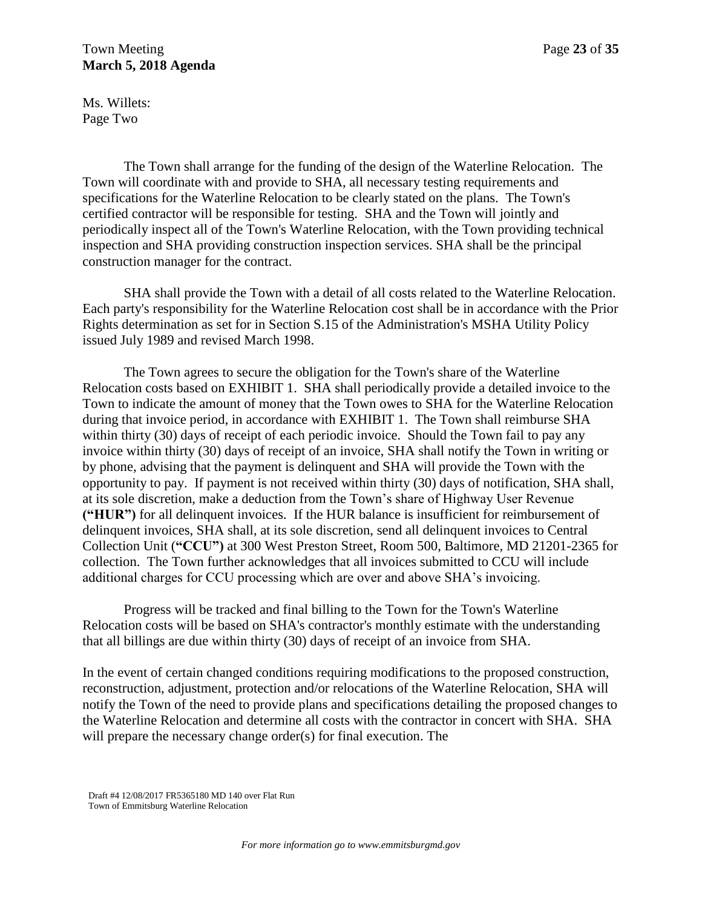Ms. Willets: Page Two

The Town shall arrange for the funding of the design of the Waterline Relocation. The Town will coordinate with and provide to SHA, all necessary testing requirements and specifications for the Waterline Relocation to be clearly stated on the plans. The Town's certified contractor will be responsible for testing. SHA and the Town will jointly and periodically inspect all of the Town's Waterline Relocation, with the Town providing technical inspection and SHA providing construction inspection services. SHA shall be the principal construction manager for the contract.

SHA shall provide the Town with a detail of all costs related to the Waterline Relocation. Each party's responsibility for the Waterline Relocation cost shall be in accordance with the Prior Rights determination as set for in Section S.15 of the Administration's MSHA Utility Policy issued July 1989 and revised March 1998.

The Town agrees to secure the obligation for the Town's share of the Waterline Relocation costs based on EXHIBIT 1. SHA shall periodically provide a detailed invoice to the Town to indicate the amount of money that the Town owes to SHA for the Waterline Relocation during that invoice period, in accordance with EXHIBIT 1. The Town shall reimburse SHA within thirty (30) days of receipt of each periodic invoice. Should the Town fail to pay any invoice within thirty (30) days of receipt of an invoice, SHA shall notify the Town in writing or by phone, advising that the payment is delinquent and SHA will provide the Town with the opportunity to pay. If payment is not received within thirty (30) days of notification, SHA shall, at its sole discretion, make a deduction from the Town's share of Highway User Revenue **("HUR")** for all delinquent invoices. If the HUR balance is insufficient for reimbursement of delinquent invoices, SHA shall, at its sole discretion, send all delinquent invoices to Central Collection Unit (**"CCU")** at 300 West Preston Street, Room 500, Baltimore, MD 21201-2365 for collection. The Town further acknowledges that all invoices submitted to CCU will include additional charges for CCU processing which are over and above SHA's invoicing.

Progress will be tracked and final billing to the Town for the Town's Waterline Relocation costs will be based on SHA's contractor's monthly estimate with the understanding that all billings are due within thirty (30) days of receipt of an invoice from SHA.

In the event of certain changed conditions requiring modifications to the proposed construction, reconstruction, adjustment, protection and/or relocations of the Waterline Relocation, SHA will notify the Town of the need to provide plans and specifications detailing the proposed changes to the Waterline Relocation and determine all costs with the contractor in concert with SHA. SHA will prepare the necessary change order(s) for final execution. The

Draft #4 12/08/2017 FR5365180 MD 140 over Flat Run Town of Emmitsburg Waterline Relocation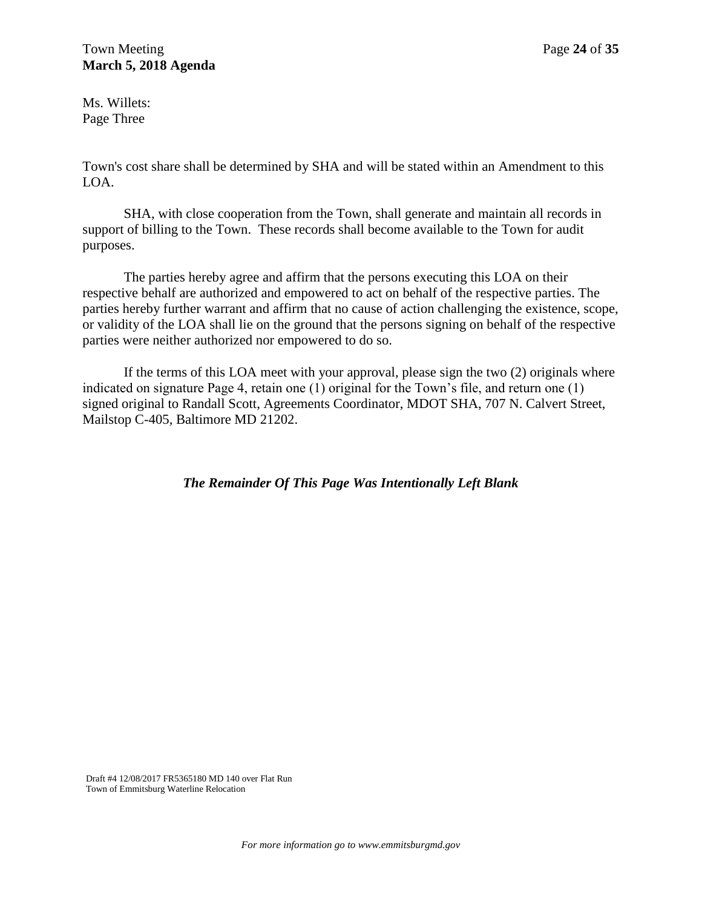Ms. Willets: Page Three

Town's cost share shall be determined by SHA and will be stated within an Amendment to this LOA.

SHA, with close cooperation from the Town, shall generate and maintain all records in support of billing to the Town. These records shall become available to the Town for audit purposes.

The parties hereby agree and affirm that the persons executing this LOA on their respective behalf are authorized and empowered to act on behalf of the respective parties. The parties hereby further warrant and affirm that no cause of action challenging the existence, scope, or validity of the LOA shall lie on the ground that the persons signing on behalf of the respective parties were neither authorized nor empowered to do so.

If the terms of this LOA meet with your approval, please sign the two (2) originals where indicated on signature Page 4, retain one (1) original for the Town's file, and return one (1) signed original to Randall Scott, Agreements Coordinator, MDOT SHA, 707 N. Calvert Street, Mailstop C-405, Baltimore MD 21202.

*The Remainder Of This Page Was Intentionally Left Blank*

Draft #4 12/08/2017 FR5365180 MD 140 over Flat Run Town of Emmitsburg Waterline Relocation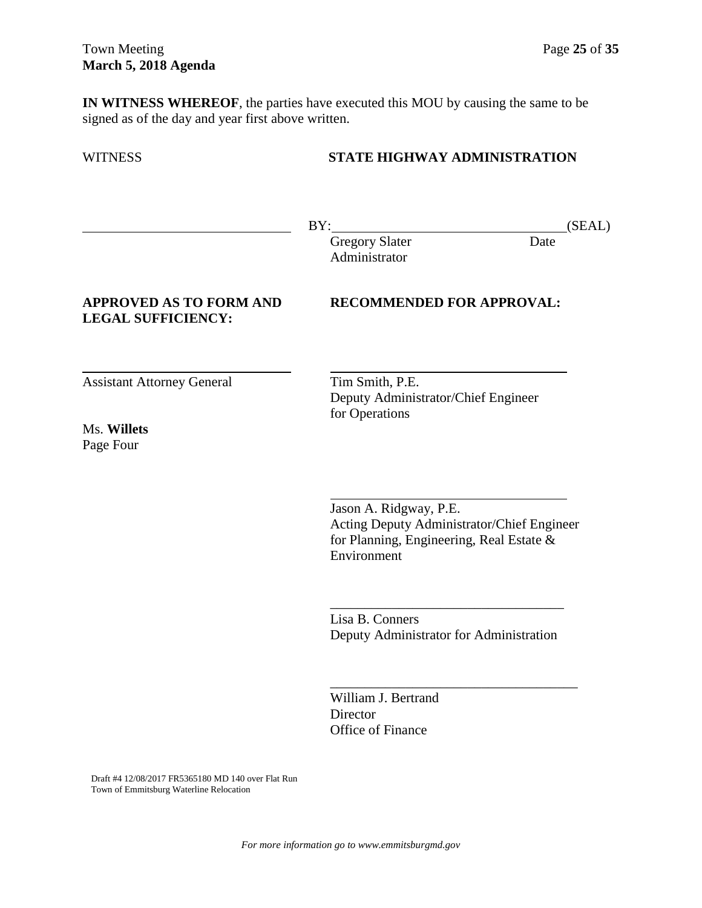**IN WITNESS WHEREOF**, the parties have executed this MOU by causing the same to be signed as of the day and year first above written.

## WITNESS **STATE HIGHWAY ADMINISTRATION**

BY: (SEAL)

Gregory Slater Date Administrator

## **LEGAL SUFFICIENCY:**

**APPROVED AS TO FORM AND RECOMMENDED FOR APPROVAL:**

Assistant Attorney General Tim Smith, P.E.

Ms. **Willets** Page Four

Deputy Administrator/Chief Engineer for Operations

Jason A. Ridgway, P.E. Acting Deputy Administrator/Chief Engineer for Planning, Engineering, Real Estate & Environment

Lisa B. Conners Deputy Administrator for Administration

\_\_\_\_\_\_\_\_\_\_\_\_\_\_\_\_\_\_\_\_\_\_\_\_\_\_\_\_\_\_\_\_\_\_\_\_

William J. Bertrand **Director** Office of Finance

Draft #4 12/08/2017 FR5365180 MD 140 over Flat Run Town of Emmitsburg Waterline Relocation

 $\frac{1}{2}$  , and the contract of the contract of the contract of the contract of the contract of the contract of the contract of the contract of the contract of the contract of the contract of the contract of the contract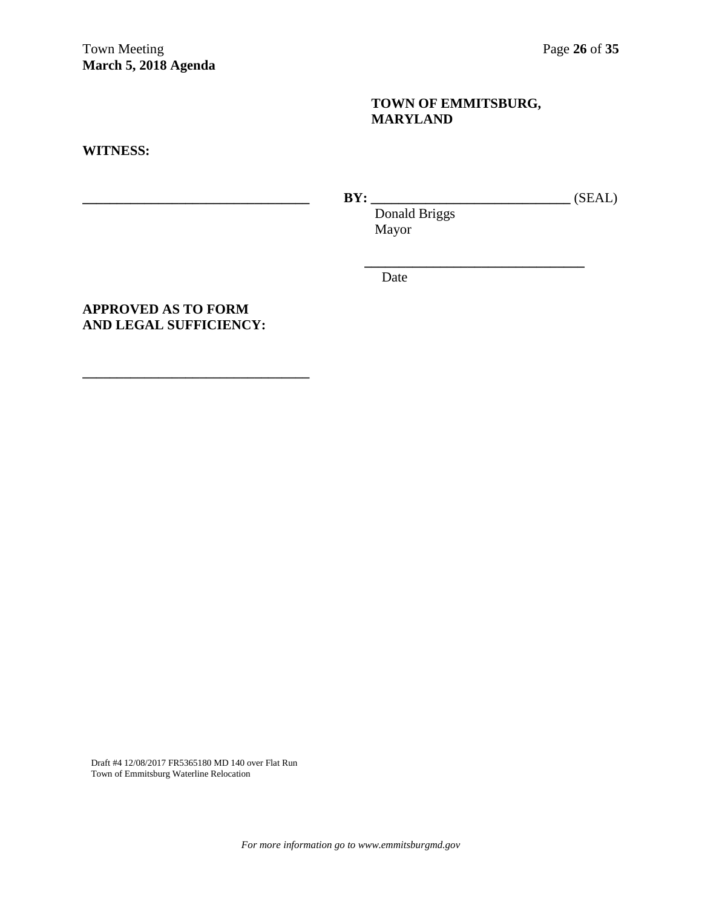## **TOWN OF EMMITSBURG, MARYLAND**

**WITNESS:**

**\_\_\_\_\_\_\_\_\_\_\_\_\_\_\_\_\_\_\_\_\_\_\_\_\_\_\_\_\_\_\_\_\_ BY: \_\_\_\_\_\_\_\_\_\_\_\_\_\_\_\_\_\_\_\_\_\_\_\_\_\_\_\_\_** (SEAL) Donald Briggs

**\_\_\_\_\_\_\_\_\_\_\_\_\_\_\_\_\_\_\_\_\_\_\_\_\_\_\_\_\_\_\_\_**

Mayor

Date

## **APPROVED AS TO FORM AND LEGAL SUFFICIENCY:**

**\_\_\_\_\_\_\_\_\_\_\_\_\_\_\_\_\_\_\_\_\_\_\_\_\_\_\_\_\_\_\_\_\_** 

Draft #4 12/08/2017 FR5365180 MD 140 over Flat Run Town of Emmitsburg Waterline Relocation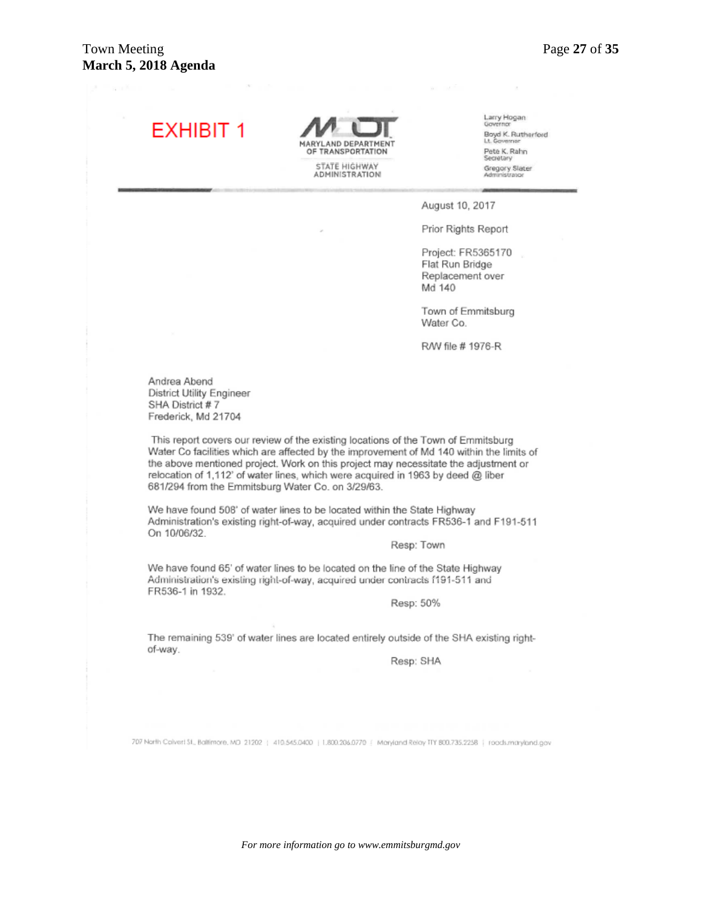# **EXHIBIT 1**

**MARYLAND DEPARTMENT** OF TRANSPORTATION STATE HIGHWAY<br>ADMINISTRATION

Larry Hogan Boyd K. Rutherford Pete K. Rahn Gregory Slater

August 10, 2017

Prior Rights Report

Project: FR5365170 Flat Run Bridge Replacement over Md 140

Town of Emmitsburg Water Co.

R/W file # 1976-R

Andrea Abend **District Utility Engineer** SHA District #7 Frederick, Md 21704

This report covers our review of the existing locations of the Town of Emmitsburg Water Co facilities which are affected by the improvement of Md 140 within the limits of the above mentioned project. Work on this project may necessitate the adjustment or relocation of 1,112' of water lines, which were acquired in 1963 by deed @ liber 681/294 from the Emmitsburg Water Co. on 3/29/63.

We have found 508' of water lines to be located within the State Highway Administration's existing right-of-way, acquired under contracts FR536-1 and F191-511 On 10/06/32.

Resp: Town

We have found 65' of water lines to be located on the line of the State Highway Administration's existing right-of-way, acquired under contracts f191-511 and FR536-1 in 1932.

Resp: 50%

The remaining 539' of water lines are located entirely outside of the SHA existing rightof-way.

Resp: SHA

707 North Colvert St., Baltimore, MD 21202 | 410.545.0400 | L800.206.0770 | Maryland Relay TIY 800.735.2258 | roads.maryland.gov

*For more information go to www.emmitsburgmd.gov*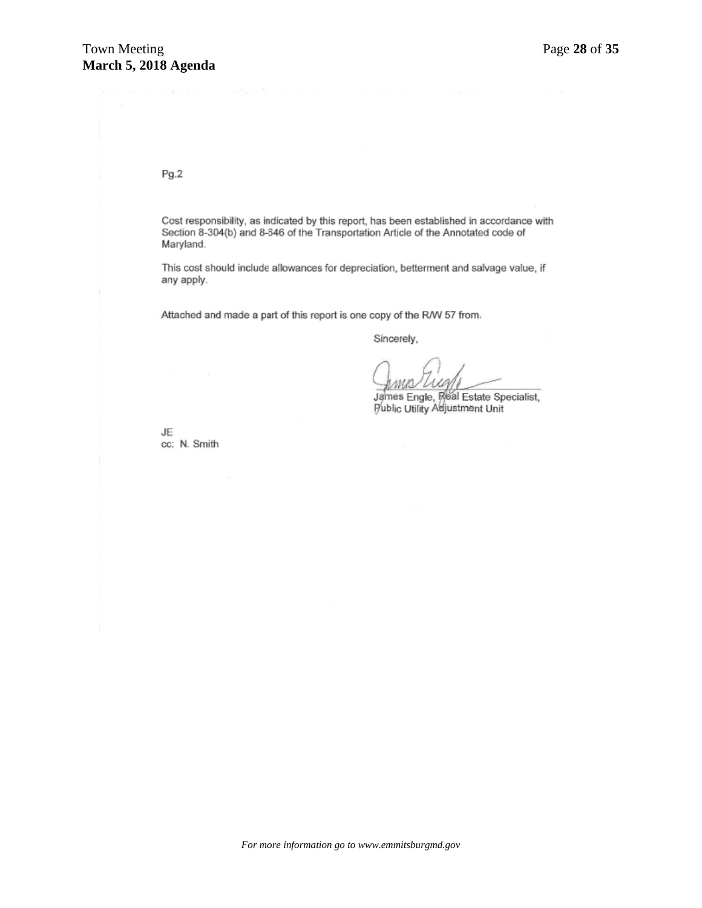Pg.2

Cost responsibility, as indicated by this report, has been established in accordance with Section 8-304(b) and 8-546 of the Transportation Article of the Annotated code of Maryland.

This cost should include allowances for depreciation, betterment and salvage value, if any apply.

Attached and made a part of this report is one copy of the R/W 57 from.

Sincerely,

James Engle, Real Estate Specialist,<br>Public Utility Adjustment Unit

JE cc: N. Smith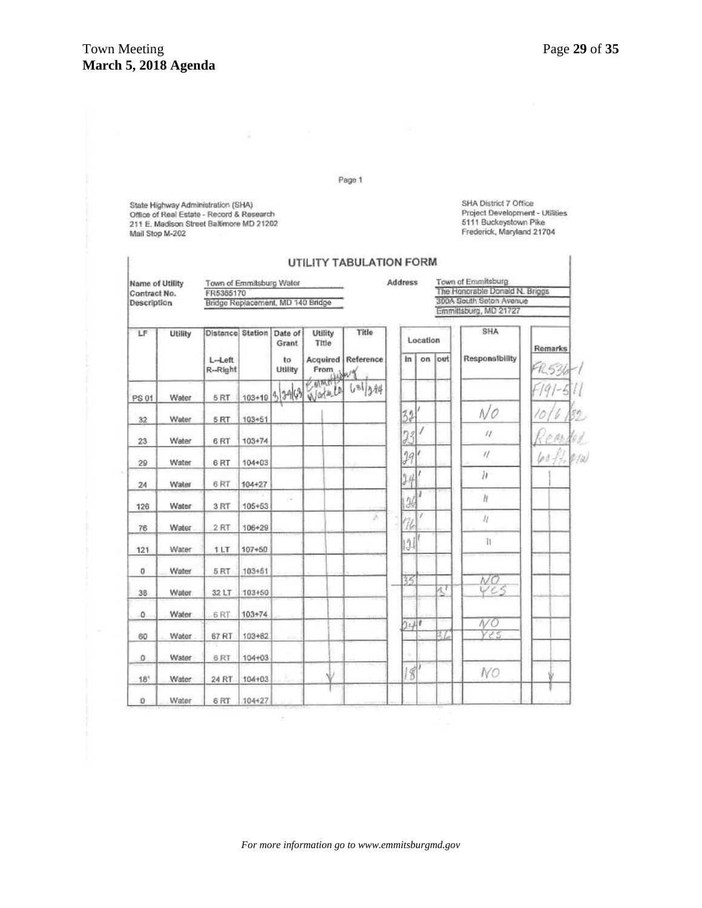I.

 $\overline{1}$ 

Page 1

State Highway Administration (SHA)<br>Office of Real Estate - Record & Research<br>211 E. Madison Street Baltimore MD 21202 Mail Stop M-202

B.

SHA District 7 Office Project Development - Utilities 5111 Buckeystown Pike<br>Frederick, Maryland 21704

| Name of Utility<br>Contract No.<br>Description |              | Town of Emmitsburg Water<br>FR5365170<br>Bridge Replacement, MD 140 Bridge |            |                  |                  |                           | <b>Address</b> |          | Town of Emmitsburg<br>The Honorable Donald N. Briggs<br>300A South Seton Avenue<br>Emmittsburg, MD 21727 |                |            |  |
|------------------------------------------------|--------------|----------------------------------------------------------------------------|------------|------------------|------------------|---------------------------|----------------|----------|----------------------------------------------------------------------------------------------------------|----------------|------------|--|
| LF                                             | Utility      | Distance Station                                                           |            | Date of<br>Grant | Utility<br>Title | Title                     |                | Location |                                                                                                          | SHA            | Remarks    |  |
|                                                |              | $L-Left$<br>R-Right                                                        |            | to<br>Utility    | From             | <b>Acquired</b> Reference | in.            | on       | out                                                                                                      | Responsibility | FR536      |  |
| PS 01                                          | Water        | 5RT                                                                        |            | $103+19999$      | CAMALA           | Water La Gallage          |                |          |                                                                                                          |                |            |  |
| 32                                             | Water        | 5RT                                                                        | 103+51     |                  |                  |                           | 32             |          |                                                                                                          | N0             |            |  |
| 23                                             | Water        | 6 <sub>RT</sub>                                                            | 103+74     |                  |                  |                           | 23             |          |                                                                                                          | $\iota$        |            |  |
| 29                                             | Water        | 6RT                                                                        | 104+03     |                  |                  |                           | $\mathcal{Y}$  |          |                                                                                                          | $\eta$         | $60 + 100$ |  |
| 24                                             | Water        | 6RT                                                                        | 104+27     |                  |                  |                           | $\frac{1}{4}$  |          |                                                                                                          | h              |            |  |
| 126                                            | Water        | 3RT                                                                        | $105 + 53$ |                  |                  |                           | 26             |          |                                                                                                          | $\hbar$        |            |  |
| 76                                             | Water        | 2 RT                                                                       | 106+29     |                  |                  | ž,                        | ı              | 7        |                                                                                                          | $\mathcal{H}$  |            |  |
| 121                                            | Water        | 1LT                                                                        | $107*50$   |                  |                  |                           | $\frac{1}{2}$  |          |                                                                                                          | 11             |            |  |
| $\mathbf 0$                                    | Water        | 5RT                                                                        | 103+51     |                  |                  |                           |                |          |                                                                                                          |                |            |  |
| 38                                             | <b>Water</b> | 32 LT                                                                      | 103+50     |                  |                  |                           | 35             |          | $\mathbb{Z}^7$                                                                                           | NΟ<br>Ves      |            |  |
| $\ddot{\rm{o}}$                                | Water        | 6RT                                                                        | $103 + 74$ |                  |                  |                           |                |          |                                                                                                          |                |            |  |
| 60                                             | Water        | 67 RT                                                                      | 103+82     |                  |                  |                           | 240            |          | 11.                                                                                                      | NO<br>Yes      |            |  |
| $\Omega$                                       | Water        | 6RT                                                                        | 104+03     |                  |                  |                           |                |          |                                                                                                          |                |            |  |
| 18'                                            | Water        | 24 RT                                                                      | 104+03     |                  |                  |                           | 8              |          |                                                                                                          | NO             |            |  |
| $\ddot{\mathbf{0}}$                            | Water        | 6RT                                                                        | 104+27     |                  |                  |                           |                |          |                                                                                                          |                |            |  |

UTILITY TABULATION FORM

 $\bar{\mathcal{C}}$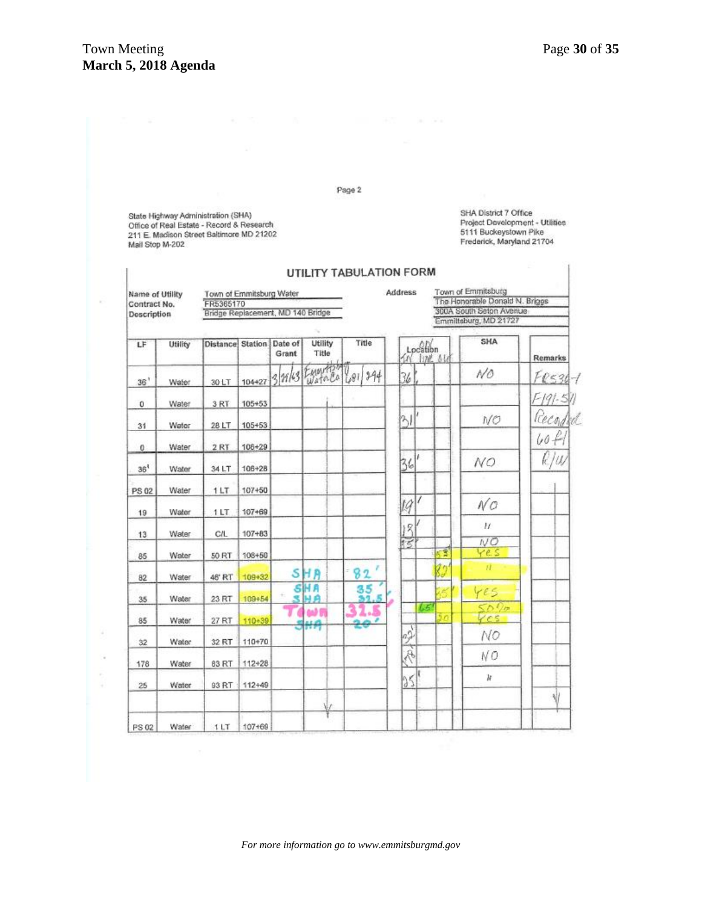×

Page 2

State Highway Administration (SHA) Office of Real Estate - Record & Research 211 E. Madison Street Baltimore MD 21202<br>Mail Stop M-202 SHA District 7 Office Srik District / Office<br>Project Development - Utilities<br>5111 Buckeystown Pike<br>Frederick, Maryland 21704

## UTILITY TABULATION FORM

| Name of Utility<br>Contract No.<br>Description |         | Town of Emmitsburg Water<br>FR5365170 |            |       |                  |                 | Address                     |          |                         | Town of Emmitsburg<br>The Honorable Donald N. Brigos |                |
|------------------------------------------------|---------|---------------------------------------|------------|-------|------------------|-----------------|-----------------------------|----------|-------------------------|------------------------------------------------------|----------------|
|                                                |         | Bridge Replacement, MD 140 Bridge     |            |       |                  |                 |                             |          | 300A South Seton Avenue |                                                      |                |
|                                                |         |                                       |            |       |                  |                 |                             |          |                         | Emmiltsburg, MD 21727                                |                |
| LF                                             | Utility | Distance Station Date of              |            | Grant | Utility<br>Title | Title           | 1N                          | Location | <b>BML 614</b>          | SHA                                                  | <b>Remarks</b> |
| 36'                                            | Water   | 30 LT                                 | 104+27     |       | 3 28/63 Equippo  | 681/294         | 36                          |          |                         | NO                                                   | $F$ $0530 - 1$ |
| $\mathbf 0$                                    | Water   | 3RT                                   | 105+53     |       |                  |                 |                             |          |                         |                                                      | F191-511       |
| 31                                             | Water   | 28 LT                                 | 105+53     |       |                  |                 | $\frac{2}{3}$               | ï        |                         | NO                                                   | Record         |
| 0                                              | Water   | 2 RT                                  | 106+29     |       |                  |                 |                             |          |                         |                                                      | 60H            |
| 36 <sup>1</sup>                                | Water   | 34 LT                                 | 106+28     |       |                  |                 | 36                          |          |                         | NO                                                   | k/w            |
| PS 02                                          | Water   | 1LT                                   | 107450     |       |                  |                 |                             |          |                         |                                                      |                |
| 19                                             | Water   | 1 LT                                  | 107+69     |       |                  |                 | 19                          | 7        |                         | NQ                                                   |                |
| 13                                             | Water   | C/L                                   | $107 + 83$ |       |                  |                 | 13                          |          |                         | $\mathcal{U}$                                        |                |
| 85                                             | Water   | 50 RT                                 | 108+50     |       |                  |                 | 肟                           |          | 害                       | NO<br>Yes                                            |                |
| 82                                             | Water   | 46' RT                                | 109+32     |       | SHA              | ÷.<br>82        |                             |          |                         | $\overline{u}$                                       |                |
| 35                                             | Water   | 23 RT                                 | 109+54     |       | SH A<br>HA       | $\frac{35}{31}$ |                             |          |                         | YES                                                  |                |
| 85                                             | Water   | 27 RT                                 | 110+39     |       | 仙箭<br>нĄ         | الموالي         |                             | ts       | 5n                      | 50%<br>Vcs                                           |                |
| 32                                             | Water   | 32 RT                                 | 110+70     |       |                  |                 | $\mathbb{Z}^2$              |          |                         | NO                                                   |                |
| 178                                            | Water   | 83 RT                                 | 112+28     |       |                  |                 | $\widetilde{\mathscr{P}}_k$ |          |                         | NΟ                                                   |                |
| 25                                             | Water   | 93 RT                                 | 112+49     |       |                  |                 | 25                          |          |                         | k                                                    |                |
|                                                |         |                                       |            |       | V                |                 |                             |          |                         |                                                      | $\sqrt{}$      |
| <b>PS 02</b>                                   | Water   | 1LT                                   | 107+69     |       |                  |                 |                             |          |                         |                                                      |                |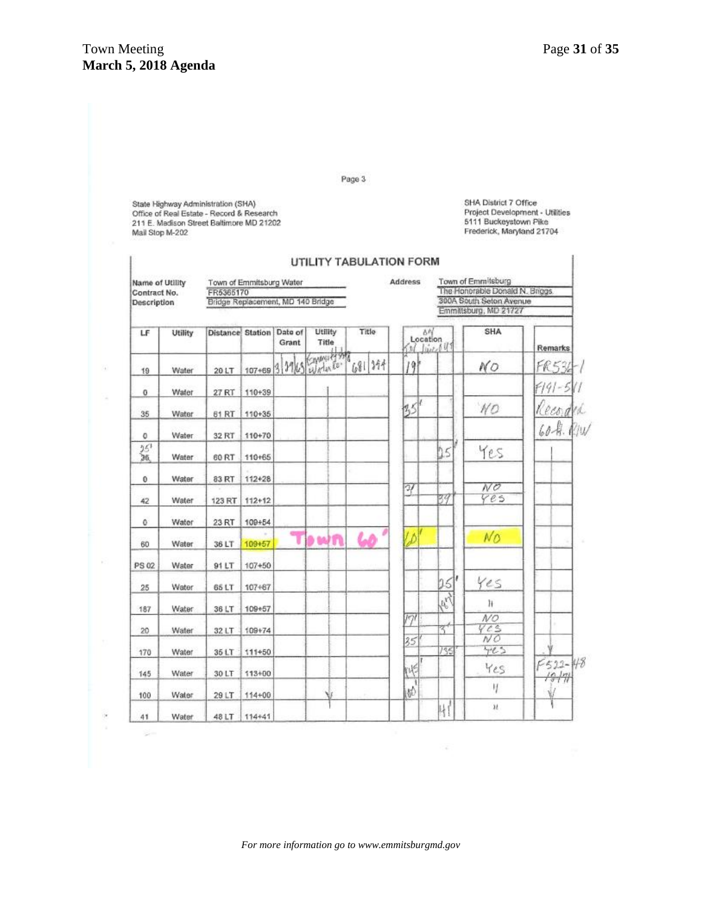## Town Meeting Page 31 of 35 **March 5, 2018 Agenda**

G,

÷

 $\tilde{\mathcal{C}}$ R, Page 3

State Highway Administration (SHA)<br>Office of Real Estate - Record & Research<br>211 E. Madison Street Baltimore MD 21202<br>Mail Stop M-202

SHA District 7 Office Project Development - Utilities 5111 Buckeystown Pike Frederick, Maryland 21704

| Name of Utility<br>Contract No.<br>Description |              | Town of Emmitsburg Water<br>FR5365170<br>Bridge Replacement, MD 140 Bridge |            |                  |                  |         | Address         |             | Town of Emmitsburg<br>The Honorable Donald N. Briggs.<br>300A South Seton Avenue<br>Emmittsburg, MD 21727 |                               |  |  |
|------------------------------------------------|--------------|----------------------------------------------------------------------------|------------|------------------|------------------|---------|-----------------|-------------|-----------------------------------------------------------------------------------------------------------|-------------------------------|--|--|
| LF                                             | Utility      | <b>Distance Station</b>                                                    |            | Date of<br>Grant | Utility<br>Title | Title   | Location        | Ol live 641 | SHA                                                                                                       | Remarks                       |  |  |
| 19                                             | Water        | 20 LT                                                                      | 107+69 3   |                  | Mes Water Co.    | 1681344 | 19 <sup>1</sup> |             | NO                                                                                                        | FR536                         |  |  |
| $^{\circ}$                                     | Water        | 27 RT                                                                      | 110+39     |                  |                  |         |                 |             |                                                                                                           | F191-5                        |  |  |
| 35                                             | Water        | 61 RT                                                                      | 110+35     |                  |                  |         | 155             |             | NO                                                                                                        | Record                        |  |  |
| 0                                              | Water        | 32 RT                                                                      | 110+70     |                  |                  |         |                 |             |                                                                                                           | 60-A. RIW                     |  |  |
| 招                                              | Water        | 60 RT                                                                      | 110+65     |                  |                  |         |                 | 15          | Yes                                                                                                       |                               |  |  |
| $\theta$                                       | Water        | 83 RT                                                                      | 112428     |                  |                  |         | 27              |             | N <sub>O</sub>                                                                                            |                               |  |  |
| 42                                             | Water        | 123 RT                                                                     | $112 + 12$ |                  |                  |         |                 | 79          | 4e5                                                                                                       |                               |  |  |
| 0                                              | Water        | 23 RT                                                                      | 100+54     |                  |                  |         |                 |             |                                                                                                           |                               |  |  |
| 60                                             | Water        | 36 LT                                                                      | 109+57     | T                | <b>DINTI</b>     | 60      | Ŵ               |             | No                                                                                                        |                               |  |  |
| PS 02                                          | Water        | 91 LT                                                                      | $107 + 50$ |                  |                  |         |                 |             |                                                                                                           |                               |  |  |
| 25                                             | Water        | 65 LT                                                                      | 107+67     |                  |                  |         |                 | 26          | Yes                                                                                                       |                               |  |  |
| 187                                            | <b>Water</b> | 36 LT                                                                      | 109+57     |                  |                  |         |                 | Ary         | ħ                                                                                                         |                               |  |  |
| 20                                             | Water        | 32 LT                                                                      | 109+74     |                  |                  |         | 191             | 37          | NQ<br>Ves<br>NŐ                                                                                           |                               |  |  |
| 170                                            | Water        | 35 LT                                                                      | 111+50     |                  |                  |         | 35              | 735         | 425                                                                                                       |                               |  |  |
| 145                                            | Water        | 30 LT                                                                      | 113+00     |                  |                  |         | 帐               |             | Yes                                                                                                       | $F522 - 48$<br>$\frac{16}{3}$ |  |  |
| 100                                            | Water        | 29 LT                                                                      | 114+00     |                  |                  |         | 鲈               |             | IJ                                                                                                        |                               |  |  |
| 41                                             | Water        | 48 LT                                                                      | 114+41     |                  |                  |         |                 | ų           | $\mathcal{U}$                                                                                             |                               |  |  |

100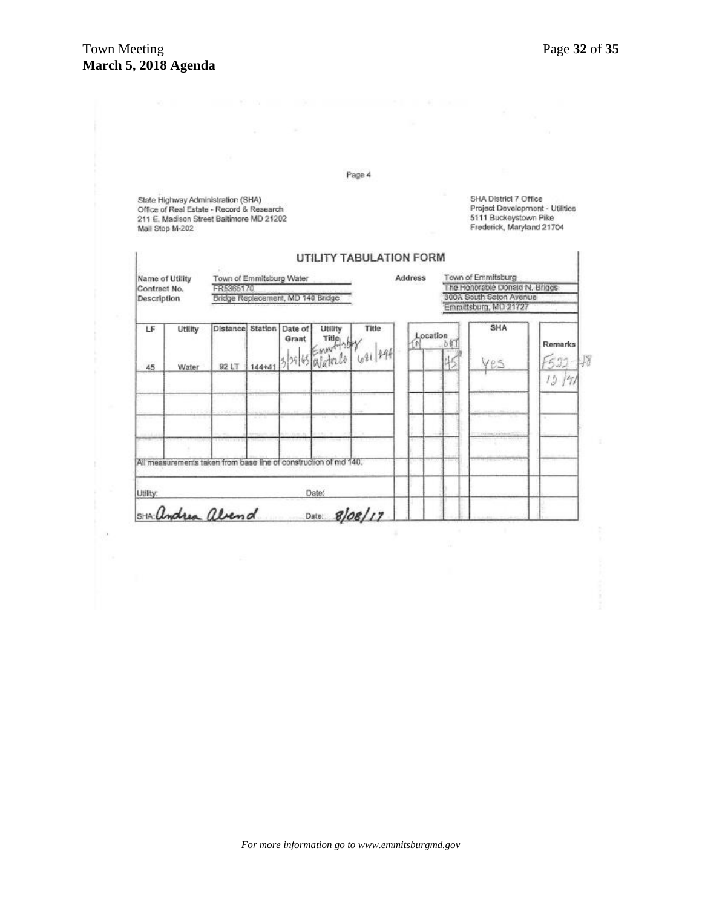|                                                       |                  |                                                                                                                             |        |                          |                              | Page 4                         |         |                 |                                                                                                                |         |
|-------------------------------------------------------|------------------|-----------------------------------------------------------------------------------------------------------------------------|--------|--------------------------|------------------------------|--------------------------------|---------|-----------------|----------------------------------------------------------------------------------------------------------------|---------|
| Mail Stop M-202                                       |                  | State Highway Administration (SHA)<br>Office of Real Estate - Record & Research<br>211 E. Madison Street Baltimore MD 21202 |        |                          |                              |                                |         |                 | SHA District 7 Office<br>Project Development - Utilities<br>5111 Buckeystown Pike<br>Frederick, Maryland 21704 |         |
| Name of Utility<br>Contract No.<br><b>Description</b> |                  | Town of Emmitsburg Water<br>FR5385170<br>Bridge Replacement, MD 140 Bridge                                                  |        |                          |                              | <b>UTILITY TABULATION FORM</b> | Address |                 | Town of Emmitsburg<br>The Honorable Donald N. Briggs<br>300A South Saton Avenue<br>Emmittsburg, MD 21727       |         |
| LF.<br>45                                             | Utlilty<br>Water | Distance Station<br>92 LT                                                                                                   | 144+41 | Date of<br>Grant<br>39 6 | Utility<br>Title:<br>Waterlo | <b>Title</b><br>621 194        |         | Location<br>bin | SHA<br>ves                                                                                                     | Remarks |
|                                                       |                  |                                                                                                                             |        |                          |                              |                                |         |                 |                                                                                                                | 15      |
|                                                       |                  | All measurements taken from base line of construction of md 140.                                                            |        |                          |                              |                                |         |                 |                                                                                                                |         |
| Utility:                                              |                  |                                                                                                                             |        |                          | Date:                        |                                |         |                 |                                                                                                                |         |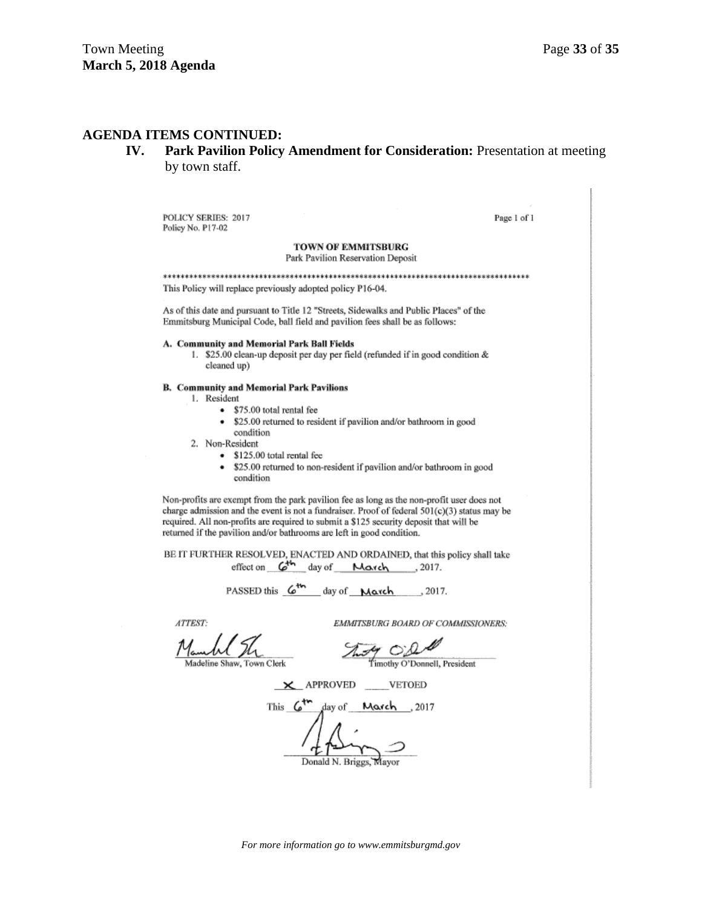#### **AGENDA ITEMS CONTINUED:**

**IV. Park Pavilion Policy Amendment for Consideration:** Presentation at meeting by town staff.

POLICY SERIES: 2017 Policy No. P17-02

Page 1 of 1

TOWN OF EMMITSBURG Park Pavilion Reservation Deposit

This Policy will replace previously adopted policy P16-04. As of this date and pursuant to Title 12 "Streets, Sidewalks and Public Places" of the

A. Community and Memorial Park Ball Fields 1. \$25.00 clean-up deposit per day per field (refunded if in good condition & cleaned up)

Emmitsburg Municipal Code, ball field and pavilion fees shall be as follows:

#### **B. Community and Memorial Park Pavilions**

- 1. Resident
	- \$75.00 total rental fee
	- \$25.00 returned to resident if pavilion and/or bathroom in good condition
- 2. Non-Resident
	- \$125.00 total rental fee
	- \$25.00 returned to non-resident if pavilion and/or bathroom in good condition

Non-profits are exempt from the park pavilion fee as long as the non-profit user does not charge admission and the event is not a fundraiser. Proof of federal  $501(c)(3)$  status may be required. All non-profits are required to submit a \$125 security deposit that will be returned if the pavilion and/or bathrooms are left in good condition.

BE IT FURTHER RESOLVED, ENACTED AND ORDAINED, that this policy shall take effect on  $G^{th}$  day of Maxch 2017.

PASSED this  $6^{th}$  day of March ..., 2017.

ATTEST:

EMMITSBURG BOARD OF COMMISSIONERS:

Thing O'DA

Timothy O'Donnell, President

X APPROVED VETOED

This  $\mathcal{L}^{\mathsf{tr}}$ 2017, day of Mourch

Donald N. Briggs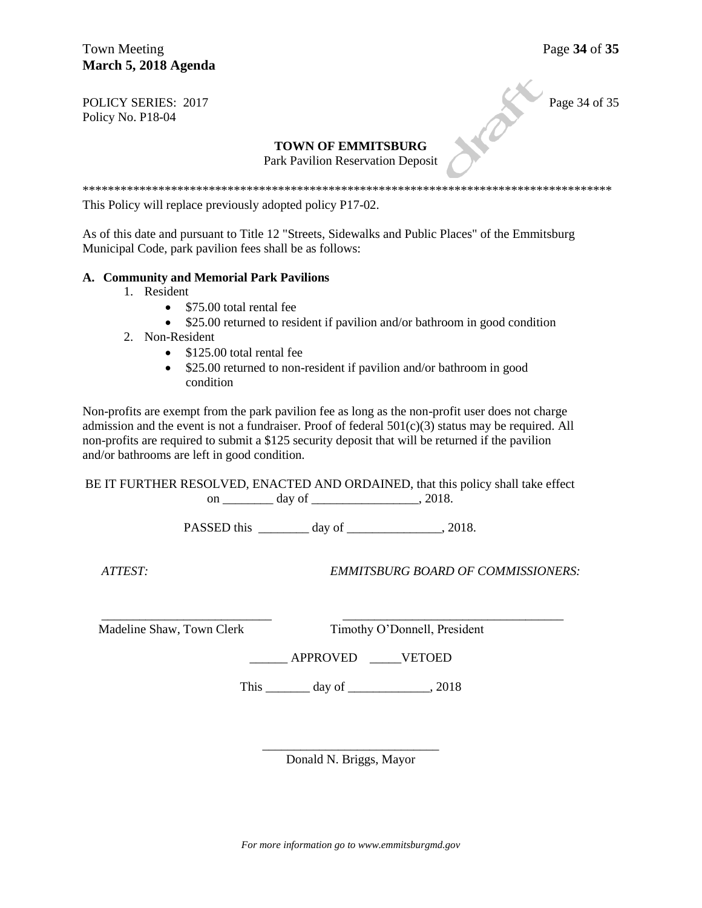Town Meeting Page 34 of 35 **March 5, 2018 Agenda** 

POLICY SERIES: 2017 Page 34 of 35 Policy No. P18-04

#### **TOWN OF EMMITSBURG**

Park Pavilion Reservation Deposit

\*\*\*\*\*\*\*\*\*\*\*\*\*\*\*\*\*\*\*\*\*\*\*\*\*\*\*\*\*\*\*\*\*\*\*\*\*\*\*\*\*\*\*\*\*\*\*\*\*\*\*\*\*\*\*\*\*\*\*\*\*\*\*\*\*\*\*\*\*\*\*\*\*\*\*\*\*\*\*\*\*\*\*\*

This Policy will replace previously adopted policy P17-02.

As of this date and pursuant to Title 12 "Streets, Sidewalks and Public Places" of the Emmitsburg Municipal Code, park pavilion fees shall be as follows:

#### **A. Community and Memorial Park Pavilions**

- 1. Resident
	- \$75.00 total rental fee
	- \$25.00 returned to resident if pavilion and/or bathroom in good condition
- 2. Non-Resident
	- \$125.00 total rental fee
	- \$25.00 returned to non-resident if pavilion and/or bathroom in good condition

Non-profits are exempt from the park pavilion fee as long as the non-profit user does not charge admission and the event is not a fundraiser. Proof of federal  $501(c)(3)$  status may be required. All non-profits are required to submit a \$125 security deposit that will be returned if the pavilion and/or bathrooms are left in good condition.

BE IT FURTHER RESOLVED, ENACTED AND ORDAINED, that this policy shall take effect on \_\_\_\_\_\_\_\_\_\_ day of \_\_\_\_\_\_\_\_\_\_\_\_\_\_\_\_\_, 2018.

PASSED this \_\_\_\_\_\_\_\_ day of \_\_\_\_\_\_\_\_\_\_\_\_\_\_\_, 2018.

 $\overline{\phantom{a}}$  , and the contribution of the contribution of  $\overline{\phantom{a}}$  , and  $\overline{\phantom{a}}$  , and  $\overline{\phantom{a}}$  , and  $\overline{\phantom{a}}$  , and  $\overline{\phantom{a}}$  , and  $\overline{\phantom{a}}$  , and  $\overline{\phantom{a}}$  , and  $\overline{\phantom{a}}$  , and  $\overline{\phantom{a}}$  , and

 *ATTEST: EMMITSBURG BOARD OF COMMISSIONERS:*

Madeline Shaw, Town Clerk Timothy O'Donnell, President

\_\_\_\_\_\_ APPROVED \_\_\_\_\_VETOED

This \_\_\_\_\_\_\_\_\_\_ day of \_\_\_\_\_\_\_\_\_\_\_\_\_\_, 2018

\_\_\_\_\_\_\_\_\_\_\_\_\_\_\_\_\_\_\_\_\_\_\_\_\_\_\_\_ Donald N. Briggs, Mayor

*For more information go to www.emmitsburgmd.gov*